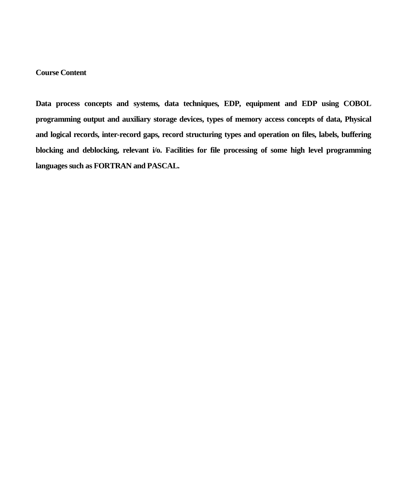#### **Course Content**

**Data process concepts and systems, data techniques, EDP, equipment and EDP using COBOL programming output and auxiliary storage devices, types of memory access concepts of data, Physical and logical records, inter-record gaps, record structuring types and operation on files, labels, buffering blocking and deblocking, relevant i/o. Facilities for file processing of some high level programming languages such as FORTRAN and PASCAL.**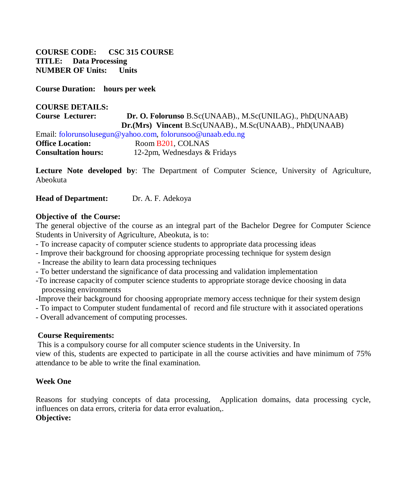**COURSE CODE: CSC 315 COURSE TITLE: Data Processing NUMBER OF Units: Units** 

**Course Duration: hours per week** 

#### **COURSE DETAILS:**

**Course Lecturer: Dr. O. Folorunso** B.Sc(UNAAB)., M.Sc(UNILAG)., PhD(UNAAB) **Dr.(Mrs) Vincent** B.Sc(UNAAB)., M.Sc(UNAAB)., PhD(UNAAB) Email: folorunsolusegun@yahoo.com, folorunsoo@unaab.edu.ng **Office Location:** Room B201, COLNAS **Consultation hours:** 12-2pm, Wednesdays & Fridays

**Lecture Note developed by**: The Department of Computer Science, University of Agriculture, Abeokuta

**Head of Department:** Dr. A. F. Adekoya

#### **Objective of the Course:**

The general objective of the course as an integral part of the Bachelor Degree for Computer Science Students in University of Agriculture, Abeokuta, is to:

- To increase capacity of computer science students to appropriate data processing ideas
- Improve their background for choosing appropriate processing technique for system design
- Increase the ability to learn data processing techniques
- To better understand the significance of data processing and validation implementation
- -To increase capacity of computer science students to appropriate storage device choosing in data processing environments
- -Improve their background for choosing appropriate memory access technique for their system design
- To impact to Computer student fundamental of record and file structure with it associated operations
- Overall advancement of computing processes.

#### **Course Requirements:**

This is a compulsory course for all computer science students in the University. In view of this, students are expected to participate in all the course activities and have minimum of 75% attendance to be able to write the final examination.

### **Week One**

Reasons for studying concepts of data processing, Application domains, data processing cycle, influences on data errors, criteria for data error evaluation,. **Objective:**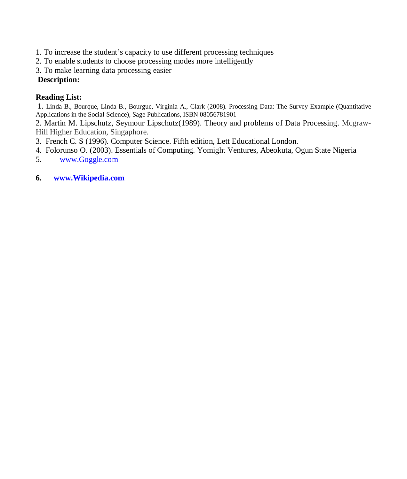- 1. To increase the student's capacity to use different processing techniques
- 2. To enable students to choose processing modes more intelligently
- 3. To make learning data processing easier

# **Description:**

# **Reading List:**

1. Linda B., Bourque, Linda B., Bourgue, Virginia A., Clark (2008). Processing Data: The Survey Example (Quantitative Applications in the Social Science), Sage Publications, ISBN 08056781901

2. Martin M. Lipschutz, Seymour Lipschutz(1989). Theory and problems of Data Processing. Mcgraw-Hill Higher Education, Singaphore.

- 3. French C. S (1996). Computer Science. Fifth edition, Lett Educational London.
- 4. Folorunso O. (2003). Essentials of Computing. Yomight Ventures, Abeokuta, Ogun State Nigeria
- 5. www.Goggle.com

# **6. www.Wikipedia.com**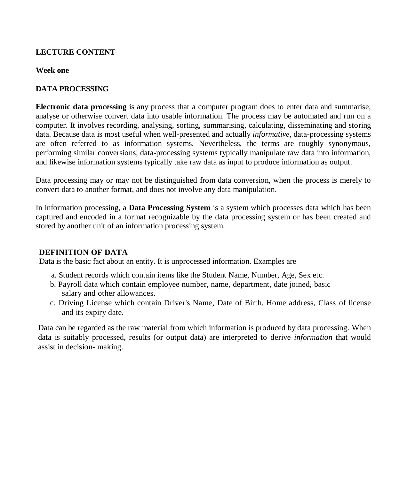# **LECTURE CONTENT**

#### **Week one**

## **DATA PROCESSING**

**Electronic data processing** is any process that a computer program does to enter data and summarise, analyse or otherwise convert data into usable information. The process may be automated and run on a computer. It involves recording, analysing, sorting, summarising, calculating, disseminating and storing data. Because data is most useful when well-presented and actually *informative*, data-processing systems are often referred to as information systems. Nevertheless, the terms are roughly synonymous, performing similar conversions; data-processing systems typically manipulate raw data into information, and likewise information systems typically take raw data as input to produce information as output.

Data processing may or may not be distinguished from data conversion, when the process is merely to convert data to another format, and does not involve any data manipulation.

In information processing, a **Data Processing System** is a system which processes data which has been captured and encoded in a format recognizable by the data processing system or has been created and stored by another unit of an information processing system.

#### **DEFINITION OF DATA**

Data is the basic fact about an entity. It is unprocessed information. Examples are

- a. Student records which contain items like the Student Name, Number, Age, Sex etc.
- b. Payroll data which contain employee number, name, department, date joined, basic salary and other allowances.
- c. Driving License which contain Driver's Name, Date of Birth, Home address, Class of license and its expiry date.

Data can be regarded as the raw material from which information is produced by data processing. When data is suitably processed, results (or output data) are interpreted to derive *information* that would assist in decision- making.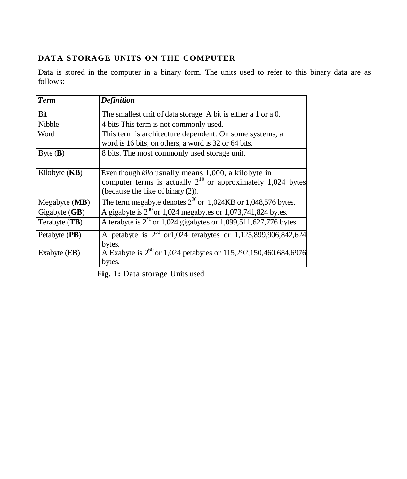# **DATA STORAGE UNITS ON THE COMPUTER**

Data is stored in the computer in a binary form. The units used to refer to this binary data are as follows:

| <b>Term</b>     | <b>Definition</b>                                                     |
|-----------------|-----------------------------------------------------------------------|
| Bit             | The smallest unit of data storage. A bit is either a 1 or a 0.        |
| Nibble          | 4 bits This term is not commonly used.                                |
| Word            | This term is architecture dependent. On some systems, a               |
|                 | word is 16 bits; on others, a word is 32 or 64 bits.                  |
| Byte(B)         | 8 bits. The most commonly used storage unit.                          |
|                 |                                                                       |
| Kilobyte $(KB)$ | Even though kilo usually means 1,000, a kilobyte in                   |
|                 | computer terms is actually $2^{10}$ or approximately 1,024 bytes      |
|                 | (because the like of binary $(2)$ ).                                  |
| Megabyte (MB)   | The term megabyte denotes $2^{20}$ or 1,024KB or 1,048,576 bytes.     |
| Gigabyte $(GB)$ | A gigabyte is $2^{30}$ or 1,024 megabytes or 1,073,741,824 bytes.     |
| Terabyte (TB)   | A terabyte is $2^{40}$ or 1,024 gigabytes or 1,099,511,627,776 bytes. |
| Petabyte (PB)   | A petabyte is $2^{50}$ or1,024 terabytes or 1,125,899,906,842,624     |
|                 | bytes.                                                                |
| Exabyte $(EB)$  | A Exabyte is $2^{60}$ or 1,024 petabytes or 115,292,150,460,684,6976  |
|                 | bytes.                                                                |

**Fig. 1:** Data storage Units used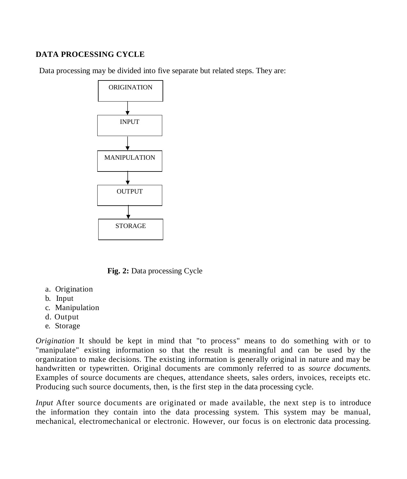# **DATA PROCESSING CYCLE**

Data processing may be divided into five separate but related steps. They are:



**Fig. 2:** Data processing Cycle

- a. Origination
- b. Input
- c. Manipulation
- d. Output
- e. Storage

*Origination* It should be kept in mind that "to process" means to do something with or to "manipulate" existing information so that the result is meaningful and can be used by the organization to make decisions. The existing information is generally original in nature and may be handwritten or typewritten. Original documents are commonly referred to as *source documents.*  Examples of source documents are cheques, attendance sheets, sales orders, invoices, receipts etc. Producing such source documents, then, is the first step in the data processing cycle.

*Input* After source documents are originated or made available, the next step is to introduce the information they contain into the data processing system. This system may be manual, mechanical, electromechanical or electronic. However, our focus is on electronic data processing.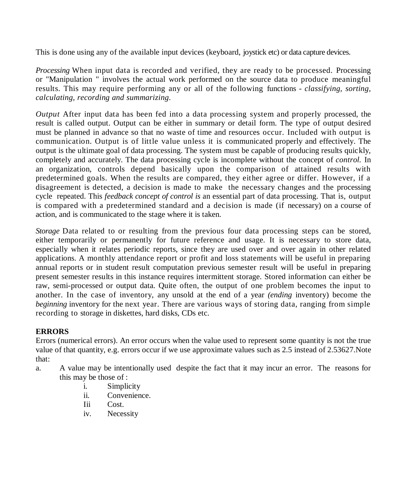This is done using any of the available input devices (keyboard, joystick etc) or data capture devices.

*Processing* When input data is recorded and verified, they are ready to be processed. Processing or "Manipulation " involves the actual work performed on the source data to produce meaningful results. This may require performing any or all of the following functions - *classifying, sorting, calculating, recording and summarizing.*

*Output* After input data has been fed into a data processing system and properly processed, the result is called output. Output can be either in summary or detail form. The type of output desired must be planned in advance so that no waste of time and resources occur. Included with output is communication. Output is of little value unless it is communicated properly and effectively. The output is the ultimate goal of data processing. The system must be capable of producing results quickly, completely and accurately. The data processing cycle is incomplete without the concept of *control.* In an organization, controls depend basically upon the comparison of attained results with predetermined goals. When the results are compared, they either agree or differ. However, if a disagreement is detected, a decision is made to make the necessary changes and the processing cycle repeated. This *feedback concept of control is* an essential part of data processing. That is, output is compared with a predetermined standard and a decision is made (if necessary) on a course of action, and is communicated to the stage where it is taken.

*Storage* Data related to or resulting from the previous four data processing steps can be stored, either temporarily or permanently for future reference and usage. It is necessary to store data, especially when it relates periodic reports, since they are used over and over again in other related applications. A monthly attendance report or profit and loss statements will be useful in preparing annual reports or in student result computation previous semester result will be useful in preparing present semester results in this instance requires intermittent storage. Stored information can either be raw, semi-processed or output data. Quite often, the output of one problem becomes the input to another. In the case of inventory, any unsold at the end of a year *(ending* inventory) become the *beginning* inventory for the next year. There are various ways of storing data, ranging from simple recording to storage in diskettes, hard disks, CDs etc.

# **ERRORS**

Errors (numerical errors). An error occurs when the value used to represent some quantity is not the true value of that quantity, e.g. errors occur if we use approximate values such as 2.5 instead of 2.53627.Note that:

- a. A value may be intentionally used despite the fact that it may incur an error. The reasons for this may be those of :
	- i. Simplicity
	- ii. Convenience.
	- Iii Cost.
	- iv. Necessity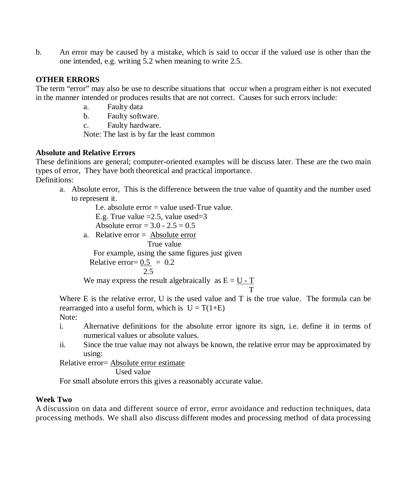b. An error may be caused by a mistake, which is said to occur if the valued use is other than the one intended, e.g. writing 5.2 when meaning to write 2.5.

# **OTHER ERRORS**

The term "error" may also be use to describe situations that occur when a program either is not executed in the manner intended or produces results that are not correct. Causes for such errors include:

- a. Faulty data
- b. Faulty software.
- c. Faulty hardware.

Note: The last is by far the least common

# **Absolute and Relative Errors**

These definitions are general; computer-oriented examples will be discuss later. These are the two main types of error, They have both theoretical and practical importance. Definitions:

a. Absolute error, This is the difference between the true value of quantity and the number used to represent it.

> I.e. absolute error = value used-True value. E.g. True value  $=2.5$ , value used $=3$ Absolute error =  $3.0 - 2.5 = 0.5$

a. Relative error = Absolute error

 True value For example, using the same figures just given Relative error=  $0.5 = 0.2$ 2.5

We may express the result algebraically as  $E = U - T$ T

Where E is the relative error, U is the used value and T is the true value. The formula can be rearranged into a useful form, which is  $U = T(1+E)$ Note:

- i. Alternative definitions for the absolute error ignore its sign, i.e. define it in terms of numerical values or absolute values.
- ii. Since the true value may not always be known, the relative error may be approximated by using:

Relative error= Absolute error estimate

Used value

For small absolute errors this gives a reasonably accurate value.

# **Week Two**

A discussion on data and different source of error, error avoidance and reduction techniques, data processing methods. We shall also discuss different modes and processing method of data processing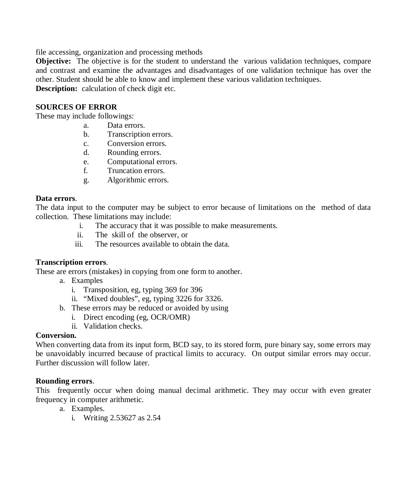file accessing, organization and processing methods

**Objective:** The objective is for the student to understand the various validation techniques, compare and contrast and examine the advantages and disadvantages of one validation technique has over the other. Student should be able to know and implement these various validation techniques.

**Description:** calculation of check digit etc.

### **SOURCES OF ERROR**

These may include followings:

- a. Data errors.
- b. Transcription errors.
- c. Conversion errors.
- d. Rounding errors.
- e. Computational errors.
- f. Truncation errors.
- g. Algorithmic errors.

#### **Data errors**.

The data input to the computer may be subject to error because of limitations on the method of data collection. These limitations may include:

- i. The accuracy that it was possible to make measurements.
- ii. The skill of the observer, or
- iii. The resources available to obtain the data.

## **Transcription errors**.

These are errors (mistakes) in copying from one form to another.

- a. Examples
	- i. Transposition, eg, typing 369 for 396
	- ii. "Mixed doubles", eg, typing 3226 for 3326.
- b. These errors may be reduced or avoided by using
	- i. Direct encoding (eg, OCR/OMR)
	- ii. Validation checks.

#### **Conversion.**

When converting data from its input form, BCD say, to its stored form, pure binary say, some errors may be unavoidably incurred because of practical limits to accuracy. On output similar errors may occur. Further discussion will follow later.

## **Rounding errors**.

This frequently occur when doing manual decimal arithmetic. They may occur with even greater frequency in computer arithmetic.

- a. Examples.
	- i. Writing 2.53627 as 2.54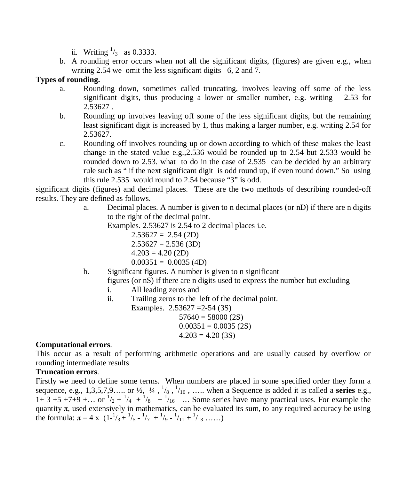- ii. Writing  $\frac{1}{3}$  as 0.3333.
- b. A rounding error occurs when not all the significant digits, (figures) are given e.g., when writing 2.54 we omit the less significant digits 6, 2 and 7.

# **Types of rounding.**

- a. Rounding down, sometimes called truncating, involves leaving off some of the less significant digits, thus producing a lower or smaller number, e.g. writing 2.53 for 2.53627 .
- b. Rounding up involves leaving off some of the less significant digits, but the remaining least significant digit is increased by 1, thus making a larger number, e.g. writing 2.54 for 2.53627.
- c. Rounding off involves rounding up or down according to which of these makes the least change in the stated value e.g.,2.536 would be rounded up to 2.54 but 2.533 would be rounded down to 2.53, what to do in the case of 2.535 can be decided by an arbitrary rule such as " if the next significant digit is odd round up, if even round down." So using this rule 2.535 would round to 2.54 because "3" is odd.

significant digits (figures) and decimal places. These are the two methods of describing rounded-off results. They are defined as follows.

> a. Decimal places. A number is given to n decimal places (or nD) if there are n digits to the right of the decimal point.

Examples. 2.53627 is 2.54 to 2 decimal places i.e.

$$
2.53627 = 2.54 (2D)
$$
  

$$
2.53627 = 2.536 (3D)
$$
  

$$
4.203 = 4.20 (2D)
$$
  

$$
0.00351 = 0.0035 (4D)
$$

b. Significant figures. A number is given to n significant

figures (or nS) if there are n digits used to express the number but excluding

i. All leading zeros and

Examples.

ii. Trailing zeros to the left of the decimal point.

$$
2.53627 = 2-54 (3S)
$$
  
\n
$$
57640 = 58000 (2S)
$$
  
\n
$$
0.00351 = 0.0035 (2S)
$$
  
\n
$$
4.203 = 4.20 (3S)
$$

## **Computational errors**.

This occur as a result of performing arithmetic operations and are usually caused by overflow or rounding intermediate results

# **Truncation errors**.

Firstly we need to define some terms. When numbers are placed in some specified order they form a sequence, e.g.,  $1,3,5,7,9,...$  or  $\frac{1}{2}$ ,  $\frac{1}{4}$ ,  $\frac{1}{8}$ ,  $\frac{1}{16}$ , .... when a Sequence is added it is called a **series** e.g.,  $1+3+5+7+9+...$  or  $\frac{1}{2}+\frac{1}{4}+\frac{1}{8}+\frac{1}{16}...$  Some series have many practical uses. For example the quantity  $\pi$ , used extensively in mathematics, can be evaluated its sum, to any required accuracy be using the formula:  $\pi = 4 \times (1^{-1}/_3 + \frac{1}{5} - \frac{1}{7} + \frac{1}{9} - \frac{1}{11} + \frac{1}{13} + \frac{1}{15})$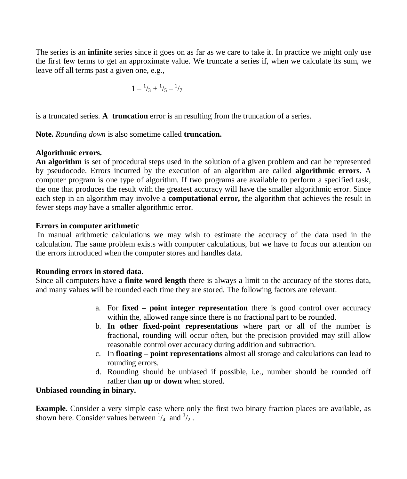The series is an **infinite** series since it goes on as far as we care to take it. In practice we might only use the first few terms to get an approximate value. We truncate a series if, when we calculate its sum, we leave off all terms past a given one, e.g.,

$$
1-{\bf \overset{1}{\mathstrut}}\prime_3+{\bf \overset{1}{\mathstrut}}\prime_5-{\bf \overset{1}{\mathstrut}}\prime_7
$$

is a truncated series. **A truncation** error is an resulting from the truncation of a series.

**Note.** *Rounding down* is also sometime called **truncation.**

## **Algorithmic errors.**

**An algorithm** is set of procedural steps used in the solution of a given problem and can be represented by pseudocode. Errors incurred by the execution of an algorithm are called **algorithmic errors.** A computer program is one type of algorithm. If two programs are available to perform a specified task, the one that produces the result with the greatest accuracy will have the smaller algorithmic error. Since each step in an algorithm may involve a **computational error,** the algorithm that achieves the result in fewer steps *may* have a smaller algorithmic error.

### **Errors in computer arithmetic**

In manual arithmetic calculations we may wish to estimate the accuracy of the data used in the calculation. The same problem exists with computer calculations, but we have to focus our attention on the errors introduced when the computer stores and handles data.

## **Rounding errors in stored data.**

Since all computers have a **finite word length** there is always a limit to the accuracy of the stores data, and many values will be rounded each time they are stored. The following factors are relevant.

- a. For **fixed – point integer representation** there is good control over accuracy within the, allowed range since there is no fractional part to be rounded.
- b. **In other fixed-point representations** where part or all of the number is fractional, rounding will occur often, but the precision provided may still allow reasonable control over accuracy during addition and subtraction.
- c. In **floating – point representations** almost all storage and calculations can lead to rounding errors.
- d. Rounding should be unbiased if possible, i.e., number should be rounded off rather than **up** or **down** when stored.

## **Unbiased rounding in binary.**

**Example.** Consider a very simple case where only the first two binary fraction places are available, as shown here. Consider values between  $\frac{1}{4}$  and  $\frac{1}{2}$ .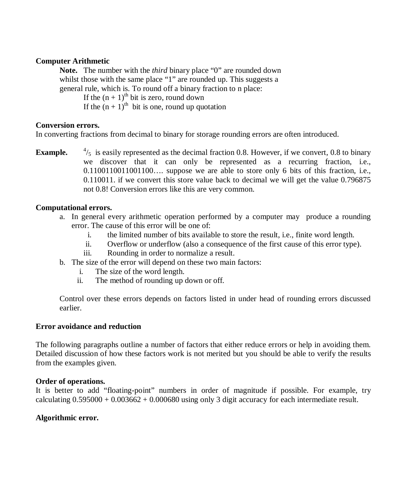### **Computer Arithmetic**

**Note.** The number with the *third* binary place "0" are rounded down whilst those with the same place "1" are rounded up. This suggests a general rule, which is. To round off a binary fraction to n place: If the  $(n + 1)$ <sup>th</sup> bit is zero, round down

If the  $(n + 1)$ <sup>th</sup> bit is one, round up quotation

### **Conversion errors.**

In converting fractions from decimal to binary for storage rounding errors are often introduced.

**Example.**  $\frac{4}{5}$  is easily represented as the decimal fraction 0.8. However, if we convert, 0.8 to binary we discover that it can only be represented as a recurring fraction, i.e., 0.1100110011001100…. suppose we are able to store only 6 bits of this fraction, i.e., 0.110011. if we convert this store value back to decimal we will get the value 0.796875 not 0.8! Conversion errors like this are very common.

### **Computational errors.**

- a. In general every arithmetic operation performed by a computer may produce a rounding error. The cause of this error will be one of:
	- i. the limited number of bits available to store the result, i.e., finite word length.
	- ii. Overflow or underflow (also a consequence of the first cause of this error type).
	- iii. Rounding in order to normalize a result.
- b. The size of the error will depend on these two main factors:
	- i. The size of the word length.
	- ii. The method of rounding up down or off.

Control over these errors depends on factors listed in under head of rounding errors discussed earlier.

#### **Error avoidance and reduction**

The following paragraphs outline a number of factors that either reduce errors or help in avoiding them. Detailed discussion of how these factors work is not merited but you should be able to verify the results from the examples given.

#### **Order of operations.**

It is better to add "floating-point" numbers in order of magnitude if possible. For example, try calculating  $0.595000 + 0.003662 + 0.000680$  using only 3 digit accuracy for each intermediate result.

## **Algorithmic error.**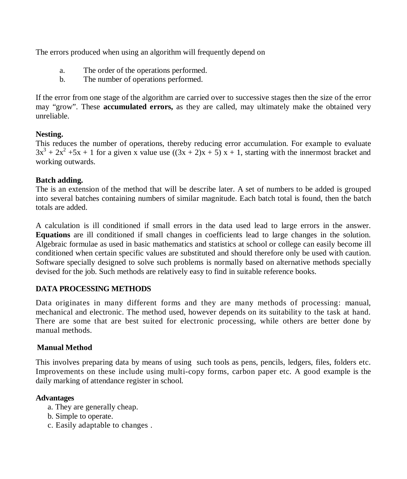The errors produced when using an algorithm will frequently depend on

- a. The order of the operations performed.
- b. The number of operations performed.

If the error from one stage of the algorithm are carried over to successive stages then the size of the error may "grow". These **accumulated errors,** as they are called, may ultimately make the obtained very unreliable.

# **Nesting.**

This reduces the number of operations, thereby reducing error accumulation. For example to evaluate  $3x^3 + 2x^2 + 5x + 1$  for a given x value use  $((3x + 2)x + 5)$  x + 1, starting with the innermost bracket and working outwards.

# **Batch adding.**

The is an extension of the method that will be describe later. A set of numbers to be added is grouped into several batches containing numbers of similar magnitude. Each batch total is found, then the batch totals are added.

A calculation is ill conditioned if small errors in the data used lead to large errors in the answer. **Equations** are ill conditioned if small changes in coefficients lead to large changes in the solution. Algebraic formulae as used in basic mathematics and statistics at school or college can easily become ill conditioned when certain specific values are substituted and should therefore only be used with caution. Software specially designed to solve such problems is normally based on alternative methods specially devised for the job. Such methods are relatively easy to find in suitable reference books.

# **DATA PROCESSING METHODS**

Data originates in many different forms and they are many methods of processing: manual, mechanical and electronic. The method used, however depends on its suitability to the task at hand. There are some that are best suited for electronic processing, while others are better done by manual methods.

## **Manual Method**

This involves preparing data by means of using such tools as pens, pencils, ledgers, files, folders etc. Improvements on these include using multi-copy forms, carbon paper etc. A good example is the daily marking of attendance register in school.

## **Advantages**

- a. They are generally cheap.
- b. Simple to operate.
- c. Easily adaptable to changes .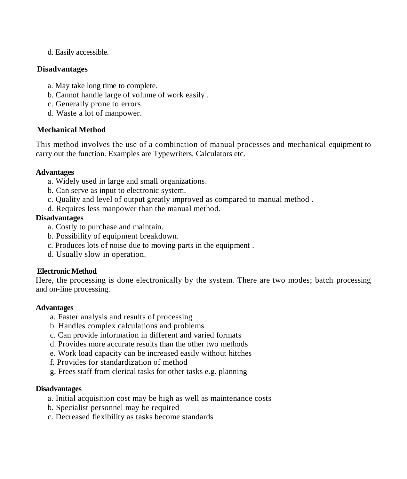d. Easily accessible.

# **Disadvantages**

- a. May take long time to complete.
- b. Cannot handle large of volume of work easily .
- c. Generally prone to errors.
- d. Waste a lot of manpower.

# **Mechanical Method**

This method involves the use of a combination of manual processes and mechanical equipment to carry out the function. Examples are Typewriters, Calculators etc.

# **Advantages**

- a. Widely used in large and small organizations.
- b. Can serve as input to electronic system.
- c. Quality and level of output greatly improved as compared to manual method .
- d. Requires less manpower than the manual method.

# **Disadvantages**

- a. Costly to purchase and maintain.
- b. Possibility of equipment breakdown.
- c. Produces lots of noise due to moving parts in the equipment .
- d. Usually slow in operation.

# **Electronic Method**

Here, the processing is done electronically by the system. There are two modes; batch processing and on-line processing.

## **Advantages**

- a. Faster analysis and results of processing
- b. Handles complex calculations and problems
- c. Can provide information in different and varied formats
- d. Provides more accurate results than the other two methods
- e. Work load capacity can be increased easily without hitches
- f. Provides for standardization of method
- g. Frees staff from clerical tasks for other tasks e.g. planning

# **Disadvantages**

- a. Initial acquisition cost may be high as well as maintenance costs
- b. Specialist personnel may be required
- c. Decreased flexibility as tasks become standards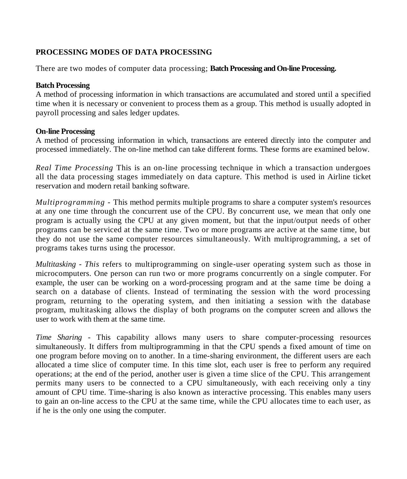# **PROCESSING MODES OF DATA PROCESSING**

There are two modes of computer data processing; **Batch Processing and On-line Processing.**

### **Batch Processing**

A method of processing information in which transactions are accumulated and stored until a specified time when it is necessary or convenient to process them as a group. This method is usually adopted in payroll processing and sales ledger updates.

## **On-line Processing**

A method of processing information in which, transactions are entered directly into the computer and processed immediately. The on-line method can take different forms. These forms are examined below.

*Real Time Processing* This is an on-line processing technique in which a transaction undergoes all the data processing stages immediately on data capture. This method is used in Airline ticket reservation and modern retail banking software.

*Multiprogramming -* This method permits multiple programs to share a computer system's resources at any one time through the concurrent use of the CPU. By concurrent use, we mean that only one program is actually using the CPU at any given moment, but that the input/output needs of other programs can be serviced at the same time. Two or more programs are active at the same time, but they do not use the same computer resources simultaneously. With multiprogramming, a set of programs takes turns using the processor.

*Multitasking - This* refers to multiprogramming on single-user operating system such as those in microcomputers. One person can run two or more programs concurrently on a single computer. For example, the user can be working on a word-processing program and at the same time be doing a search on a database of clients. Instead of terminating the session with the word processing program, returning to the operating system, and then initiating a session with the database program, multitasking allows the display of both programs on the computer screen and allows the user to work with them at the same time.

*Time Sharing -* This capability allows many users to share computer-processing resources simultaneously. It differs from multiprogramming in that the CPU spends a fixed amount of time on one program before moving on to another. In a time-sharing environment, the different users are each allocated a time slice of computer time. In this time slot, each user is free to perform any required operations; at the end of the period, another user is given a time slice of the CPU. This arrangement permits many users to be connected to a CPU simultaneously, with each receiving only a tiny amount of CPU time. Time-sharing is also known as interactive processing. This enables many users to gain an on-line access to the CPU at the same time, while the CPU allocates time to each user, as if he is the only one using the computer.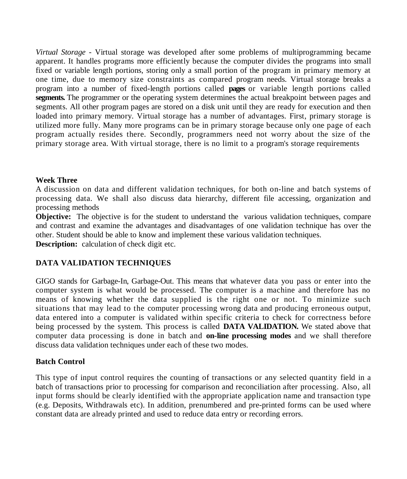*Virtual Storage -* Virtual storage was developed after some problems of multiprogramming became apparent. It handles programs more efficiently because the computer divides the programs into small fixed or variable length portions, storing only a small portion of the program in primary memory at one time, due to memory size constraints as compared program needs. Virtual storage breaks a program into a number of fixed-length portions called **pages** or variable length portions called **segments.** The programmer or the operating system determines the actual breakpoint between pages and segments. All other program pages are stored on a disk unit until they are ready for execution and then loaded into primary memory. Virtual storage has a number of advantages. First, primary storage is utilized more fully. Many more programs can be in primary storage because only one page of each program actually resides there. Secondly, programmers need not worry about the size of the primary storage area. With virtual storage, there is no limit to a program's storage requirements

### **Week Three**

A discussion on data and different validation techniques, for both on-line and batch systems of processing data. We shall also discuss data hierarchy, different file accessing, organization and processing methods

**Objective:** The objective is for the student to understand the various validation techniques, compare and contrast and examine the advantages and disadvantages of one validation technique has over the other. Student should be able to know and implement these various validation techniques. **Description:** calculation of check digit etc.

## **DATA VALIDATION TECHNIQUES**

GIGO stands for Garbage-In, Garbage-Out. This means that whatever data you pass or enter into the computer system is what would be processed. The computer is a machine and therefore has no means of knowing whether the data supplied is the right one or not. To minimize such situations that may lead to the computer processing wrong data and producing erroneous output, data entered into a computer is validated within specific criteria to check for correctness before being processed by the system. This process is called **DATA VALIDATION.** We stated above that computer data processing is done in batch and **on-line processing modes** and we shall therefore discuss data validation techniques under each of these two modes.

## **Batch Control**

This type of input control requires the counting of transactions or any selected quantity field in a batch of transactions prior to processing for comparison and reconciliation after processing. Also, all input forms should be clearly identified with the appropriate application name and transaction type (e.g. Deposits, Withdrawals etc). In addition, prenumbered and pre-printed forms can be used where constant data are already printed and used to reduce data entry or recording errors.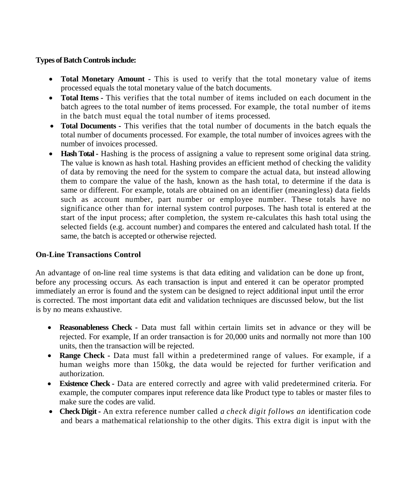## **Types of Batch Controls include:**

- **Total Monetary Amount** This is used to verify that the total monetary value of items processed equals the total monetary value of the batch documents.
- **Total Items -** This verifies that the total number of items included on each document in the batch agrees to the total number of items processed. For example, the total number of items in the batch must equal the total number of items processed.
- **Total Documents -** This verifies that the total number of documents in the batch equals the total number of documents processed. For example, the total number of invoices agrees with the number of invoices processed.
- **Hash Total -** Hashing is the process of assigning a value to represent some original data string. The value is known as hash total. Hashing provides an efficient method of checking the validity of data by removing the need for the system to compare the actual data, but instead allowing them to compare the value of the hash, known as the hash total, to determine if the data is same or different. For example, totals are obtained on an identifier (meaningless) data fields such as account number, part number or employee number. These totals have no significance other than for internal system control purposes. The hash total is entered at the start of the input process; after completion, the system re-calculates this hash total using the selected fields (e.g. account number) and compares the entered and calculated hash total. If the same, the batch is accepted or otherwise rejected.

# **On-Line Transactions Control**

An advantage of on-line real time systems is that data editing and validation can be done up front, before any processing occurs. As each transaction is input and entered it can be operator prompted immediately an error is found and the system can be designed to reject additional input until the error is corrected. The most important data edit and validation techniques are discussed below, but the list is by no means exhaustive.

- **Reasonableness Check -** Data must fall within certain limits set in advance or they will be rejected. For example, If an order transaction is for 20,000 units and normally not more than 100 units, then the transaction will be rejected.
- **Range Check -** Data must fall within a predetermined range of values. For example, if a human weighs more than 150kg, the data would be rejected for further verification and authorization.
- **Existence Check -** Data are entered correctly and agree with valid predetermined criteria. For example, the computer compares input reference data like Product type to tables or master files to make sure the codes are valid.
- **Check Digit -** An extra reference number called *a check digit follows an* identification code and bears a mathematical relationship to the other digits. This extra digit is input with the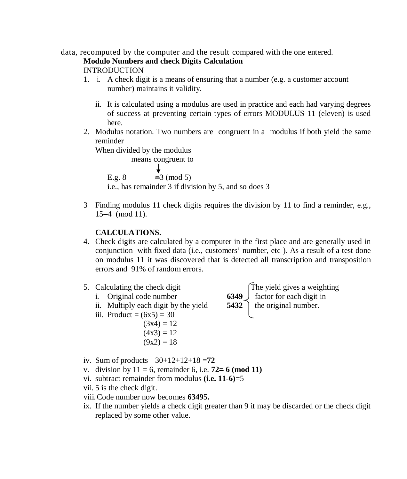data, recomputed by the computer and the result compared with the one entered. **Modulo Numbers and check Digits Calculation**

```
INTRODUCTION
```
- 1. i. A check digit is a means of ensuring that a number (e.g. a customer account number) maintains it validity.
	- ii. It is calculated using a modulus are used in practice and each had varying degrees of success at preventing certain types of errors MODULUS 11 (eleven) is used here.
- 2. Modulus notation. Two numbers are congruent in a modulus if both yield the same reminder

When divided by the modulus

means congruent to E.g. 8  $=3 \pmod{5}$ i.e., has remainder 3 if division by 5, and so does 3

3 Finding modulus 11 check digits requires the division by 11 to find a reminder, e.g., 15=4 (mod 11).

# **CALCULATIONS.**

- 4. Check digits are calculated by a computer in the first place and are generally used in conjunction with fixed data (i.e., customers' number, etc ). As a result of a test done on modulus 11 it was discovered that is detected all transcription and transposition errors and 91% of random errors.
- 5. Calculating the check digit The yield gives a weighting i. Original code number  $\begin{array}{c} 6349 \end{array}$  factor for each digit in ii. Multiply each digit by the yield  $\overline{5432}$  the original number. iii. Product =  $(6x5) = 30$  $(3x4) = 12$  $(4x3) = 12$  $(9x2) = 18$
- iv. Sum of products 30+12+12+18 =**72**
- v. division by  $11 = 6$ , remainder 6, i.e.  $72 = 6 \pmod{11}$
- vi. subtract remainder from modulus **(i.e. 11-6)**=5
- vii. 5 is the check digit.
- viii.Code number now becomes **63495.**
- ix. If the number yields a check digit greater than 9 it may be discarded or the check digit replaced by some other value.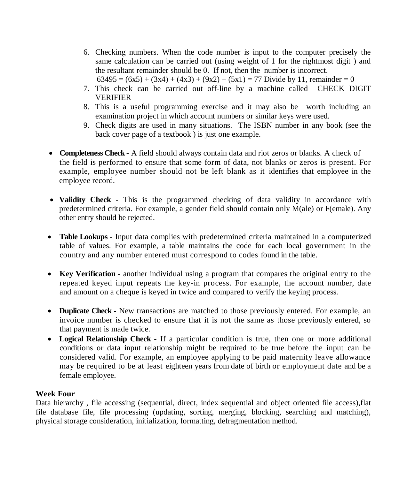- 6. Checking numbers. When the code number is input to the computer precisely the same calculation can be carried out (using weight of 1 for the rightmost digit ) and the resultant remainder should be 0. If not, then the number is incorrect.  $63495 = (6x5) + (3x4) + (4x3) + (9x2) + (5x1) = 77$  Divide by 11, remainder = 0
- 7. This check can be carried out off-line by a machine called CHECK DIGIT VERIFIER
- 8. This is a useful programming exercise and it may also be worth including an examination project in which account numbers or similar keys were used.
- 9. Check digits are used in many situations. The ISBN number in any book (see the back cover page of a textbook ) is just one example.
- **Completeness Check -** A field should always contain data and riot zeros or blanks. A check of the field is performed to ensure that some form of data, not blanks or zeros is present. For example, employee number should not be left blank as it identifies that employee in the employee record.
- **Validity Check -** This is the programmed checking of data validity in accordance with predetermined criteria. For example, a gender field should contain only M(ale) or F(emale). Any other entry should be rejected.
- **Table Lookups -** Input data complies with predetermined criteria maintained in a computerized table of values. For example, a table maintains the code for each local government in the country and any number entered must correspond to codes found in the table.
- **Key Verification -** another individual using a program that compares the original entry to the repeated keyed input repeats the key-in process. For example, the account number, date and amount on a cheque is keyed in twice and compared to verify the keying process.
- **Duplicate Check -** New transactions are matched to those previously entered. For example, an invoice number is checked to ensure that it is not the same as those previously entered, so that payment is made twice.
- **Logical Relationship Check -** If a particular condition is true, then one or more additional conditions or data input relationship might be required to be true before the input can be considered valid. For example, an employee applying to be paid maternity leave allowance may be required to be at least eighteen years from date of birth or employment date and be a female employee.

# **Week Four**

Data hierarchy, file accessing (sequential, direct, index sequential and object oriented file access), flat file database file, file processing (updating, sorting, merging, blocking, searching and matching), physical storage consideration, initialization, formatting, defragmentation method.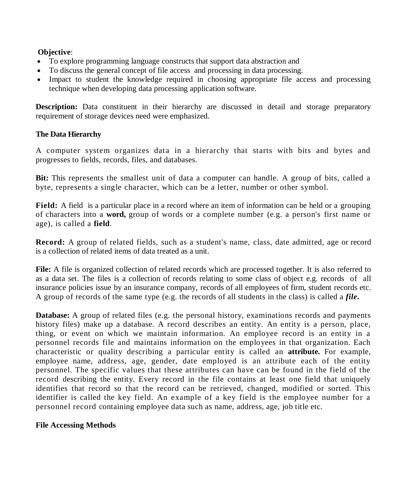# **Objective**:

- To explore programming language constructs that support data abstraction and
- To discuss the general concept of file access and processing in data processing.
- Impact to student the knowledge required in choosing appropriate file access and processing technique when developing data processing application software.

**Description:** Data constituent in their hierarchy are discussed in detail and storage preparatory requirement of storage devices need were emphasized.

# **The Data Hierarchy**

A computer system organizes data in a hierarchy that starts with bits and bytes and progresses to fields, records, files, and databases.

**Bit:** This represents the smallest unit of data a computer can handle. A group of bits, called a byte, represents a single character, which can be a letter, number or other symbol.

**Field:** A field is a particular place in a record where an item of information can be held or a grouping of characters into a **word,** group of words or a complete number (e.g. a person's first name or age), is called a **field**.

**Record:** A group of related fields, such as a student's name, class, date admitted, age or record is a collection of related items of data treated as a unit.

**File:** A file is organized collection of related records which are processed together. It is also referred to as a data set. The files is a collection of records relating to some class of object e.g. records of all insurance policies issue by an insurance company, records of all employees of firm, student records etc. A group of records of the same type (e.g. the records of all students in the class) is called a *file***.** 

**Database:** A group of related files (e.g. the personal history, examinations records and payments history files) make up a database. A record describes an entity. An entity is a person, place, thing, or event on which we maintain information. An employee record is an entity in a personnel records file and maintains information on the employees in that organization. Each characteristic or quality describing a particular entity is called an **attribute.** For example, employee name, address, age, gender, date employed is an attribute each of the entity personnel. The specific values that these attributes can have can be found in the field of the record describing the entity. Every record in the file contains at least one field that uniquely identifies that record so that the record can be retrieved, changed, modified or sorted. This identifier is called the key field. An example of a key field is the employee number for a personnel record containing employee data such as name, address, age, job title etc.

# **File Accessing Methods**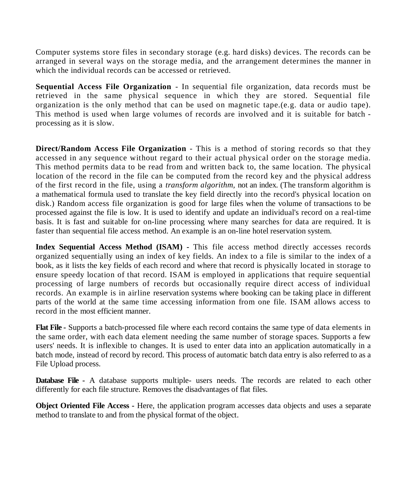Computer systems store files in secondary storage (e.g. hard disks) devices. The records can be arranged in several ways on the storage media, and the arrangement determines the manner in which the individual records can be accessed or retrieved.

**Sequential Access File Organization** - In sequential file organization, data records must be retrieved in the same physical sequence in which they are stored. Sequential file organization is the only method that can be used on magnetic tape.(e.g. data or audio tape). This method is used when large volumes of records are involved and it is suitable for batch processing as it is slow.

**Direct/Random Access File Organization** - This is a method of storing records so that they accessed in any sequence without regard to their actual physical order on the storage media. This method permits data to be read from and written back to, the same location. The physical location of the record in the file can be computed from the record key and the physical address of the first record in the file, using a *transform algorithm,* not an index. (The transform algorithm is a mathematical formula used to translate the key field directly into the record's physical location on disk.) Random access file organization is good for large files when the volume of transactions to be processed against the file is low. It is used to identify and update an individual's record on a real-time basis. It is fast and suitable for on-line processing where many searches for data are required. It is faster than sequential file access method. An example is an on-line hotel reservation system.

**Index Sequential Access Method (ISAM) -** This file access method directly accesses records organized sequentially using an index of key fields. An index to a file is similar to the index of a book, as it lists the key fields of each record and where that record is physically located in storage to ensure speedy location of that record. ISAM is employed in applications that require sequential processing of large numbers of records but occasionally require direct access of individual records. An example is in airline reservation systems where booking can be taking place in different parts of the world at the same time accessing information from one file. ISAM allows access to record in the most efficient manner.

**Flat File -** Supports a batch-processed file where each record contains the same type of data elements in the same order, with each data element needing the same number of storage spaces. Supports a few users' needs. It is inflexible to changes. It is used to enter data into an application automatically in a batch mode, instead of record by record. This process of automatic batch data entry is also referred to as a File Upload process.

**Database File -** A database supports multiple- users needs. The records are related to each other differently for each file structure. Removes the disadvantages of flat files.

**Object Oriented File Access -** Here, the application program accesses data objects and uses a separate method to translate to and from the physical format of the object.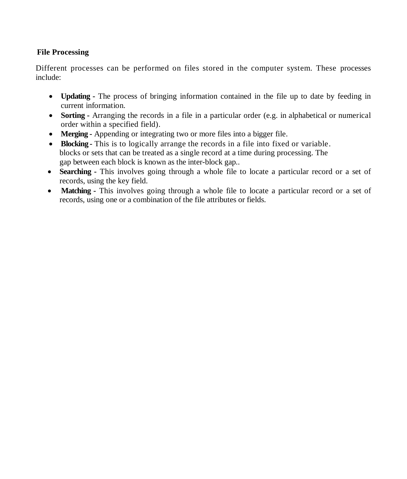# **File Processing**

Different processes can be performed on files stored in the computer system. These processes include:

- **Updating -** The process of bringing information contained in the file up to date by feeding in current information.
- **Sorting -** Arranging the records in a file in a particular order (e.g. in alphabetical or numerical order within a specified field).
- **Merging -** Appending or integrating two or more files into a bigger file.
- **Blocking -** This is to logically arrange the records in a file into fixed or variable. blocks or sets that can be treated as a single record at a time during processing. The gap between each block is known as the inter-block gap..
- **Searching -** This involves going through a whole file to locate a particular record or a set of records, using the key field.
- **Matching -** This involves going through a whole file to locate a particular record or a set of records, using one or a combination of the file attributes or fields.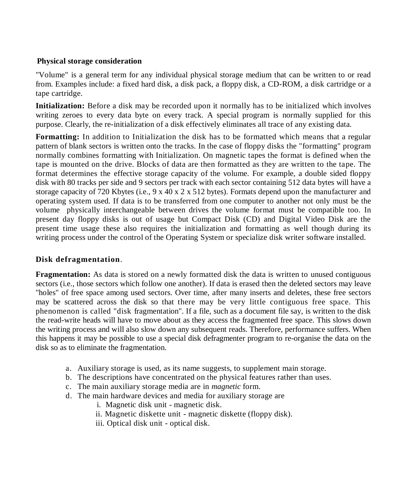### **Physical storage consideration**

"Volume" is a general term for any individual physical storage medium that can be written to or read from. Examples include: a fixed hard disk, a disk pack, a floppy disk, a CD-ROM, a disk cartridge or a tape cartridge.

**Initialization:** Before a disk may be recorded upon it normally has to be initialized which involves writing zeroes to every data byte on every track. A special program is normally supplied for this purpose. Clearly, the re-initialization of a disk effectively eliminates all trace of any existing data.

**Formatting:** In addition to Initialization the disk has to be formatted which means that a regular pattern of blank sectors is written onto the tracks. In the case of floppy disks the "formatting" program normally combines formatting with Initialization. On magnetic tapes the format is defined when the tape is mounted on the drive. Blocks of data are then formatted as they are written to the tape. The format determines the effective storage capacity of the volume. For example, a double sided floppy disk with 80 tracks per side and 9 sectors per track with each sector containing 512 data bytes will have a storage capacity of 720 Kbytes (i.e., 9 x 40 x 2 x 512 bytes). Formats depend upon the manufacturer and operating system used. If data is to be transferred from one computer to another not only must be the volume physically interchangeable between drives the volume format must be compatible too. In present day floppy disks is out of usage but Compact Disk (CD) and Digital Video Disk are the present time usage these also requires the initialization and formatting as well though during its writing process under the control of the Operating System or specialize disk writer software installed.

## **Disk defragmentation**.

**Fragmentation:** As data is stored on a newly formatted disk the data is written to unused contiguous sectors (i.e., those sectors which follow one another). If data is erased then the deleted sectors may leave "holes" of free space among used sectors. Over time, after many inserts and deletes, these free sectors may be scattered across the disk so that there may be very little contiguous free space. This phenomenon is called "disk fragmentation". If a file, such as a document file say, is written to the disk the read-write heads will have to move about as they access the fragmented free space. This slows down the writing process and will also slow down any subsequent reads. Therefore, performance suffers. When this happens it may be possible to use a special disk defragmenter program to re-organise the data on the disk so as to eliminate the fragmentation.

- a. Auxiliary storage is used, as its name suggests, to supplement main storage.
- b. The descriptions have concentrated on the physical features rather than uses.
- c. The main auxiliary storage media are in *magnetic* form.
- d. The main hardware devices and media for auxiliary storage are
	- i. Magnetic disk unit magnetic disk.
	- ii. Magnetic diskette unit magnetic diskette (floppy disk).
	- iii. Optical disk unit optical disk.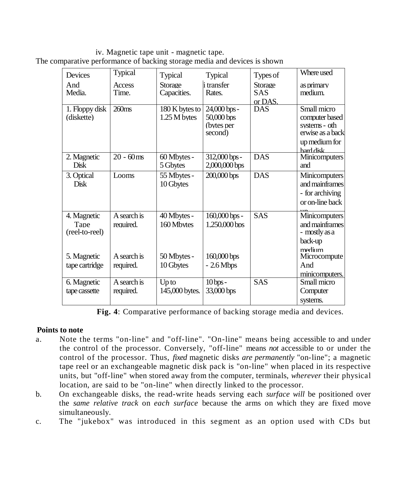iv. Magnetic tape unit - magnetic tape. The comparative performance of backing storage media and devices is shown

| <b>Devices</b>                        | <b>Typical</b>           | Typical                        | <b>Typical</b>                                        | Types of                         | Where used                                                                                       |
|---------------------------------------|--------------------------|--------------------------------|-------------------------------------------------------|----------------------------------|--------------------------------------------------------------------------------------------------|
| And<br>Media.                         | <b>Access</b><br>Time.   | Storage<br>Capacities.         | <i>i</i> transfer<br>Rates.                           | Storage<br><b>SAS</b><br>or DAS. | as primary<br>medium.                                                                            |
| 1. Floppy disk<br>(diskette)          | 260 <sub>ms</sub>        | 180 K bytes to<br>1.25 M bytes | 24,000 bps -<br>$50,000$ bps<br>(bytes per<br>second) | <b>DAS</b>                       | Small micro<br>computer based<br>systems - oth<br>erwise as a back<br>up medium for<br>hard disk |
| 2. Magnetic<br><b>Disk</b>            | $20 - 60$ ms             | 60 Mbytes -<br>5 Gbytes        | 312,000 bps -<br>2,000,000 bps                        | <b>DAS</b>                       | Minicomputers<br>and                                                                             |
| 3. Optical<br>Disk                    | Looms                    | 55 Mbytes -<br>10 Gbytes       | 200,000 bps                                           | <b>DAS</b>                       | Minicomputers<br>and mainframes<br>- for archiving<br>or on-line back                            |
| 4. Magnetic<br>Tape<br>(reel-to-reel) | A search is<br>required. | 40 Mbytes -<br>160 Mbytes      | $160,000$ bps -<br>1,250,000 bps                      | <b>SAS</b>                       | Minicomputers<br>and mainframes<br>- mostly as a<br>back-up<br>medium                            |
| 5. Magnetic<br>tape cartridge         | A search is<br>required. | 50 Mbytes -<br>10 Gbytes       | 160,000 bps<br>$-2.6$ Mbps                            |                                  | Microcompute<br>And<br>minicomputers.                                                            |
| 6. Magnetic<br>tape cassette          | A search is<br>required. | $Up$ to<br>145,000 bytes.      | $10 \text{bps}$<br>33,000 bps                         | <b>SAS</b>                       | Small micro<br>Computer<br>systems.                                                              |

**Fig. 4**: Comparative performance of backing storage media and devices.

## **Points to note**

- a. Note the terms "on-line" and "off-line". "On-line" means being accessible to and under the control of the processor. Conversely, "off-line" means *not* accessible to or under the control of the processor. Thus, *fixed* magnetic disks *are permanently* "on-line"; a magnetic tape reel or an exchangeable magnetic disk pack is "on-line" when placed in its respective units, but "off-line" when stored away from the computer, terminals, *wherever* their physical location, are said to be "on-line" when directly linked to the processor.
- b. On exchangeable disks, the read-write heads serving each *surface will* be positioned over the *same relative track* on *each surface* because the arms on which they are fixed move simultaneously.
- c. The "jukebox" was introduced in this segment as an option used with CDs but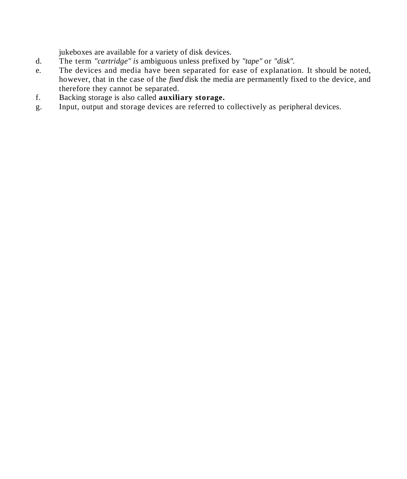jukeboxes are available for a variety of disk devices.

- d. The term *"cartridge" is* ambiguous unless prefixed by *"tape"* or *"disk".*
- e. The devices and media have been separated for ease of explanation. It should be noted, however, that in the case of the *fixed* disk the media are permanently fixed to the device, and therefore they cannot be separated.
- f. Backing storage is also called **auxiliary storage.**
- g. Input, output and storage devices are referred to collectively as peripheral devices.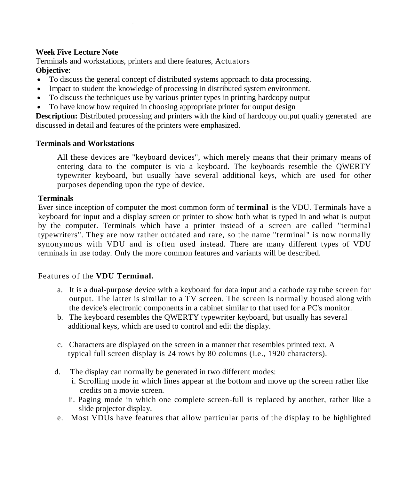# **Week Five Lecture Note**

Terminals and workstations, printers and there features, Actuators **Objective**:

I

- To discuss the general concept of distributed systems approach to data processing.
- Impact to student the knowledge of processing in distributed system environment.
- To discuss the techniques use by various printer types in printing hardcopy output
- To have know how required in choosing appropriate printer for output design

**Description:** Distributed processing and printers with the kind of hardcopy output quality generated are discussed in detail and features of the printers were emphasized.

### **Terminals and Workstations**

All these devices are "keyboard devices", which merely means that their primary means of entering data to the computer is via a keyboard. The keyboards resemble the QWERTY typewriter keyboard, but usually have several additional keys, which are used for other purposes depending upon the type of device.

### **Terminals**

Ever since inception of computer the most common form of **terminal** is the VDU. Terminals have a keyboard for input and a display screen or printer to show both what is typed in and what is output by the computer. Terminals which have a printer instead of a screen are called "terminal typewriters". They are now rather outdated and rare, so the name "terminal" is now normally synonymous with VDU and is often used instead. There are many different types of VDU terminals in use today. Only the more common features and variants will be described.

## Features of the **VDU Terminal.**

- a. It is a dual-purpose device with a keyboard for data input and a cathode ray tube screen for output. The latter is similar to a TV screen. The screen is normally housed along with the device's electronic components in a cabinet similar to that used for a PC's monitor.
- b. The keyboard resembles the QWERTY typewriter keyboard, but usually has several additional keys, which are used to control and edit the display.
- c. Characters are displayed on the screen in a manner that resembles printed text. A typical full screen display is 24 rows by 80 columns (i.e., 1920 characters).
- d. The display can normally be generated in two different modes:
	- i. Scrolling mode in which lines appear at the bottom and move up the screen rather like credits on a movie screen.
	- ii. Paging mode in which one complete screen-full is replaced by another, rather like a slide projector display.
- e. Most VDUs have features that allow particular parts of the display to be highlighted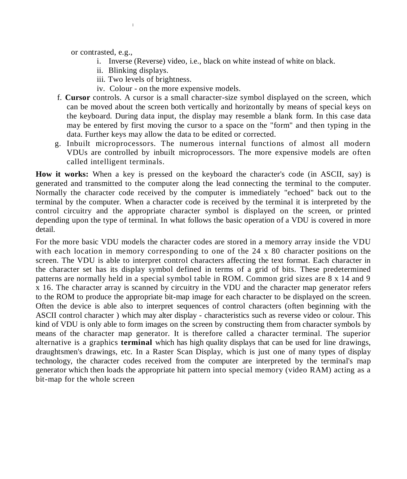or contrasted, e.g.,

- i. Inverse (Reverse) video, i.e., black on white instead of white on black.
- ii. Blinking displays.

I

- iii. Two levels of brightness.
- iv. Colour on the more expensive models.
- f. **Cursor** controls. A cursor is a small character-size symbol displayed on the screen, which can be moved about the screen both vertically and horizontally by means of special keys on the keyboard. During data input, the display may resemble a blank form. In this case data may be entered by first moving the cursor to a space on the "form" and then typing in the data. Further keys may allow the data to be edited or corrected.
- g. Inbuilt microprocessors. The numerous internal functions of almost all modern VDUs are controlled by inbuilt microprocessors. The more expensive models are often called intelligent terminals.

**How it works:** When a key is pressed on the keyboard the character's code (in ASCII, say) is generated and transmitted to the computer along the lead connecting the terminal to the computer. Normally the character code received by the computer is immediately "echoed" back out to the terminal by the computer. When a character code is received by the terminal it is interpreted by the control circuitry and the appropriate character symbol is displayed on the screen, or printed depending upon the type of terminal. In what follows the basic operation of a VDU is covered in more detail.

For the more basic VDU models the character codes are stored in a memory array inside the VDU with each location in memory corresponding to one of the 24 x 80 character positions on the screen. The VDU is able to interpret control characters affecting the text format. Each character in the character set has its display symbol defined in terms of a grid of bits. These predetermined patterns are normally held in a special symbol table in ROM. Common grid sizes are 8 x 14 and 9 x 16. The character array is scanned by circuitry in the VDU and the character map generator refers to the ROM to produce the appropriate bit-map image for each character to be displayed on the screen. Often the device is able also to interpret sequences of control characters (often beginning with the ASCII control character ) which may alter display - characteristics such as reverse video or colour. This kind of VDU is only able to form images on the screen by constructing them from character symbols by means of the character map generator. It is therefore called a character terminal. The superior alternative is a graphics **terminal** which has high quality displays that can be used for line drawings, draughtsmen's drawings, etc. In a Raster Scan Display, which is just one of many types of display technology, the character codes received from the computer are interpreted by the terminal's map generator which then loads the appropriate hit pattern into special memory (video RAM) acting as a bit-map for the whole screen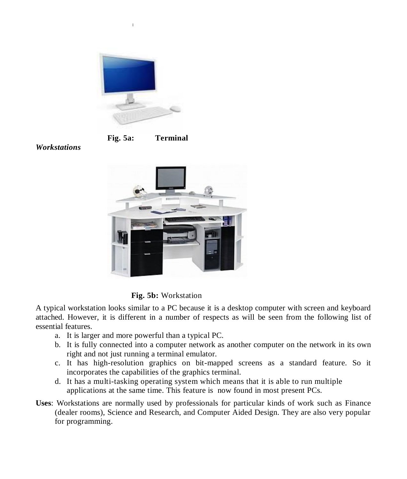

I

**Fig. 5a: Terminal** 

*Workstations*



**Fig. 5b:** Workstation

A typical workstation looks similar to a PC because it is a desktop computer with screen and keyboard attached. However, it is different in a number of respects as will be seen from the following list of essential features.

- a. It is larger and more powerful than a typical PC.
- b. It is fully connected into a computer network as another computer on the network in its own right and not just running a terminal emulator.
- c. It has high-resolution graphics on bit-mapped screens as a standard feature. So it incorporates the capabilities of the graphics terminal.
- d. It has a multi-tasking operating system which means that it is able to run multiple applications at the same time. This feature is now found in most present PCs.
- **Uses**: Workstations are normally used by professionals for particular kinds of work such as Finance (dealer rooms), Science and Research, and Computer Aided Design. They are also very popular for programming.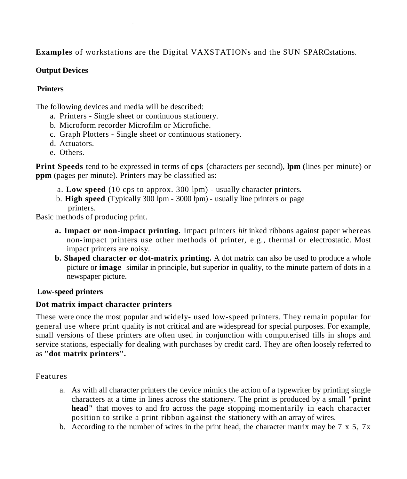# **Examples** of workstations are the Digital VAXSTATIONs and the SUN SPARCstations.

# **Output Devices**

# **Printers**

The following devices and media will be described:

a. Printers - Single sheet or continuous stationery.

I

- b. Microform recorder Microfilm or Microfiche.
- c. Graph Plotters Single sheet or continuous stationery.
- d. Actuators.
- e. Others.

**Print Speeds** tend to be expressed in terms of **cps** (characters per second), **lpm (**lines per minute) or **ppm** (pages per minute). Printers may be classified as:

- a. **Low speed** (10 cps to approx. 300 lpm) usually character printers.
- b. **High speed** (Typically 300 lpm 3000 lpm) usually line printers or page
	- printers.

Basic methods of producing print.

- **a. Impact or non-impact printing.** Impact printers *hit* inked ribbons against paper whereas non-impact printers use other methods of printer, e.g., thermal or electrostatic. Most impact printers are noisy.
- **b. Shaped character or dot-matrix printing.** A dot matrix can also be used to produce a whole picture or **image** similar in principle, but superior in quality, to the minute pattern of dots in a newspaper picture.

# **Low-speed printers**

# **Dot matrix impact character printers**

These were once the most popular and widely- used low-speed printers. They remain popular for general use where print quality is not critical and are widespread for special purposes. For example, small versions of these printers are often used in conjunction with computerised tills in shops and service stations, especially for dealing with purchases by credit card. They are often loosely referred to as **"dot matrix printers".**

# Features

- a. As with all character printers the device mimics the action of a typewriter by printing single characters at a time in lines across the stationery. The print is produced by a small **"print head"** that moves to and fro across the page stopping momentarily in each character position to strike a print ribbon against the stationery with an array of wires.
- b. According to the number of wires in the print head, the character matrix may be 7 x 5,  $7x$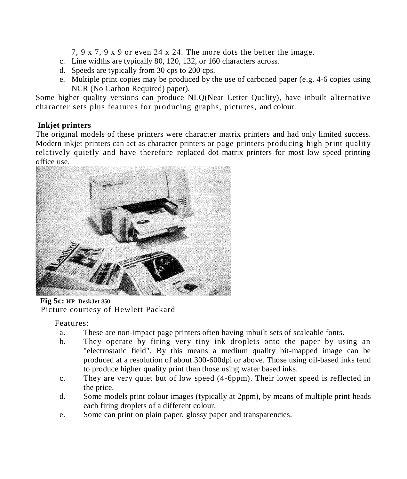- 7, 9 x 7, 9 x 9 or even 24 x 24. The more dots the better the image.
- c. Line widths are typically 80, 120, 132, or 160 characters across.
- d. Speeds are typically from 30 cps to 200 cps.

I

e. Multiple print copies may be produced by the use of carboned paper (e.g. 4-6 copies using NCR (No Carbon Required) paper).

Some higher quality versions can produce NLQ(Near Letter Quality), have inbuilt alternative character sets plus features for producing graphs, pictures, and colour.

# **Inkjet printers**

The original models of these printers were character matrix printers and had only limited success. Modern inkjet printers can act as character printers or page printers producing high print quality relatively quietly and have therefore replaced dot matrix printers for most low speed printing office use.



**Fig 5c: HP DeskJet** 850 Picture courtesy of Hewlett Packard

Features:

- a. These are non-impact page printers often having inbuilt sets of scaleable fonts.
- b. They operate by firing very tiny ink droplets onto the paper by using an "electrostatic field". By this means a medium quality bit-mapped image can be produced at a resolution of about 300-600dpi or above. Those using oil-based inks tend to produce higher quality print than those using water based inks.
- c. They are very quiet but of low speed (4-6ppm). Their lower speed is reflected in the price.
- d. Some models print colour images (typically at 2ppm), by means of multiple print heads each firing droplets of a different colour.
- e. Some can print on plain paper, glossy paper and transparencies.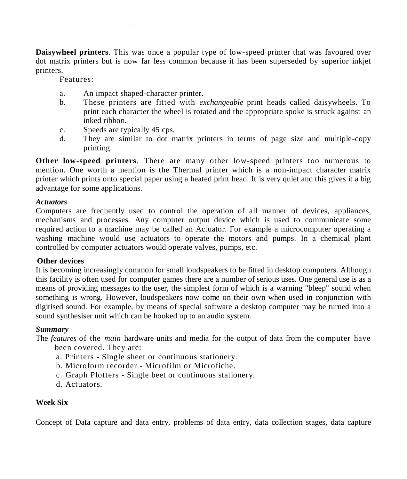**Daisywheel printers**. This was once a popular type of low-speed printer that was favoured over dot matrix printers but is now far less common because it has been superseded by superior inkjet printers.

Features:

a. An impact shaped-character printer.

I

- b. These printers are fitted with *exchangeable* print heads called daisywheels. To print each character the wheel is rotated and the appropriate spoke is struck against an inked ribbon.
- c. Speeds are typically 45 cps.
- d. They are similar to dot matrix printers in terms of page size and multiple-copy printing.

**Other low-speed printers**. There are many other low-speed printers too numerous to mention. One worth a mention is the Thermal printer which is a non-impact character matrix printer which prints onto special paper using a heated print head. It is very quiet and this gives it a big advantage for some applications.

## *Actuators*

Computers are frequently used to control the operation of all manner of devices, appliances, mechanisms and processes. Any computer output device which is used to communicate some required action to a machine may be called an Actuator. For example a microcomputer operating a washing machine would use actuators to operate the motors and pumps. In a chemical plant controlled by computer actuators would operate valves, pumps, etc.

## **Other devices**

It is becoming increasingly common for small loudspeakers to be fitted in desktop computers. Although this facility is often used for computer games there are a number of serious uses. One general use is as a means of providing messages to the user, the simplest form of which is a warning "bleep" sound when something is wrong. However, loudspeakers now come on their own when used in conjunction with digitised sound. For example, by means of special software a desktop computer may be turned into a sound synthesiser unit which can be hooked up to an audio system.

## *Summary*

The *features* of the *main* hardware units and media for the output of data from the computer have been covered. They are:

- a. Printers Single sheet or continuous stationery.
- b. Microform recorder Microfilm or Microfiche.
- c. Graph Plotters Single beet or continuous stationery.
- d. Actuators.

## **Week Six**

Concept of Data capture and data entry, problems of data entry, data collection stages, data capture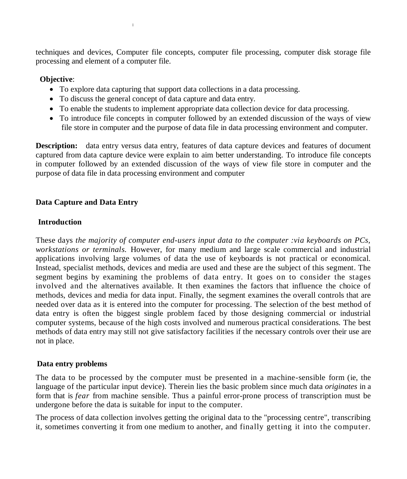techniques and devices, Computer file concepts, computer file processing, computer disk storage file processing and element of a computer file.

### **Objective**:

- To explore data capturing that support data collections in a data processing.
- To discuss the general concept of data capture and data entry.

I

- To enable the students to implement appropriate data collection device for data processing.
- To introduce file concepts in computer followed by an extended discussion of the ways of view file store in computer and the purpose of data file in data processing environment and computer.

**Description:** data entry versus data entry, features of data capture devices and features of document captured from data capture device were explain to aim better understanding. To introduce file concepts in computer followed by an extended discussion of the ways of view file store in computer and the purpose of data file in data processing environment and computer

# **Data Capture and Data Entry**

## **Introduction**

These days *the majority of computer end-users input data to the computer :via keyboards on PCs, workstations or terminals.* However, for many medium and large scale commercial and industrial applications involving large volumes of data the use of keyboards is not practical or economical. Instead, specialist methods, devices and media are used and these are the subject of this segment. The segment begins by examining the problems of data entry. It goes on to consider the stages involved and the alternatives available. It then examines the factors that influence the choice of methods, devices and media for data input. Finally, the segment examines the overall controls that are needed over data as it is entered into the computer for processing. The selection of the best method of data entry is often the biggest single problem faced by those designing commercial or industrial computer systems, because of the high costs involved and numerous practical considerations. The best methods of data entry may still not give satisfactory facilities if the necessary controls over their use are not in place.

## **Data entry problems**

The data to be processed by the computer must be presented in a machine-sensible form (ie, the language of the particular input device). Therein lies the basic problem since much data *originates* in a form that is *fear* from machine sensible. Thus a painful error-prone process of transcription must be undergone before the data is suitable for input to the computer.

The process of data collection involves getting the original data to the "processing centre", transcribing it, sometimes converting it from one medium to another, and finally getting it into the computer.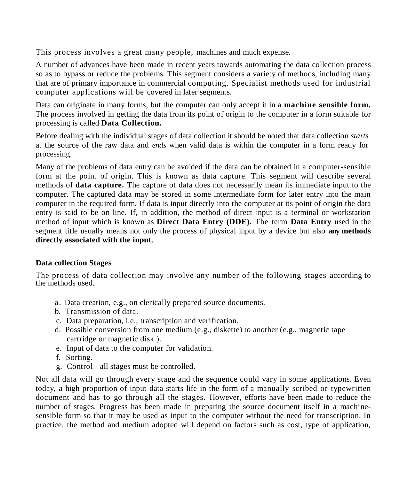This process involves a great many people, machines and much expense.

I

A number of advances have been made in recent years towards automating the data collection process so as to bypass or reduce the problems. This segment considers a variety of methods, including many that are of primary importance in commercial computing. Specialist methods used for industrial computer applications will be covered in later segments.

Data can originate in many forms, but the computer can only accept it in a **machine sensible form.**  The process involved in getting the data from its point of origin to the computer in a form suitable for processing is called **Data Collection.**

Before dealing with the individual stages of data collection it should be noted that data collection *starts*  at the source of the raw data and *ends* when valid data is within the computer in a form ready for processing.

Many of the problems of data entry can be avoided if the data can be obtained in a computer-sensible form at the point of origin. This is known as data capture. This segment will describe several methods of **data capture.** The capture of data does not necessarily mean its immediate input to the computer. The captured data may be stored in some intermediate form for later entry into the main computer in the required form. If data is input directly into the computer at its point of origin the data entry is said to be on-line. If, in addition, the method of direct input is a terminal or workstation method of input which is known as **Direct Data Entry (DDE).** The term **Data Entry** used in the segment title usually means not only the process of physical input by a device but also **any methods directly associated with the input**.

## **Data collection Stages**

The process of data collection may involve any number of the following stages according to the methods used.

- a. Data creation, e.g., on clerically prepared source documents.
- b. Transmission of data.
- c. Data preparation, i.e., transcription and verification.
- d. Possible conversion from one medium (e.g., diskette) to another (e.g., magnetic tape cartridge or magnetic disk ).
- e. Input of data to the computer for validation.
- f. Sorting.
- g. Control all stages must be controlled.

Not all data will go through every stage and the sequence could vary in some applications. Even today, a high proportion of input data starts life in the form of a manually scribed or typewritten document and has to go through all the stages. However, efforts have been made to reduce the number of stages. Progress has been made in preparing the source document itself in a machinesensible form so that it may be used as input to the computer without the need for transcription. In practice, the method and medium adopted will depend on factors such as cost, type of application,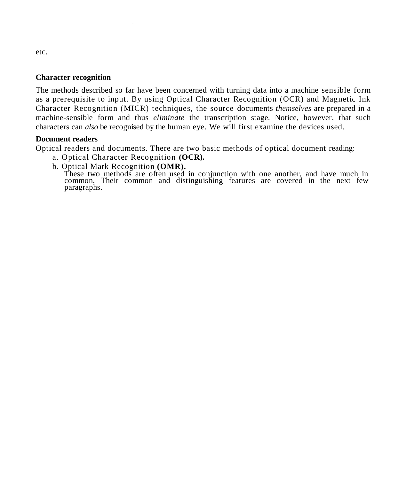### **Character recognition**

The methods described so far have been concerned with turning data into a machine sensible form as a prerequisite to input. By using Optical Character Recognition (OCR) and Magnetic Ink Character Recognition (MICR) techniques, the source documents *themselves* are prepared in a machine-sensible form and thus *eliminate* the transcription stage. Notice, however, that such characters can *also* be recognised by the human eye. We will first examine the devices used.

#### **Document readers**

Optical readers and documents. There are two basic methods of optical document reading:

a. Optical Character Recognition **(OCR).**

I

b. Optical Mark Recognition **(OMR).**

These two methods are often used in conjunction with one another, and have much in common. Their common and distinguishing features are covered in the next few paragraphs.

etc.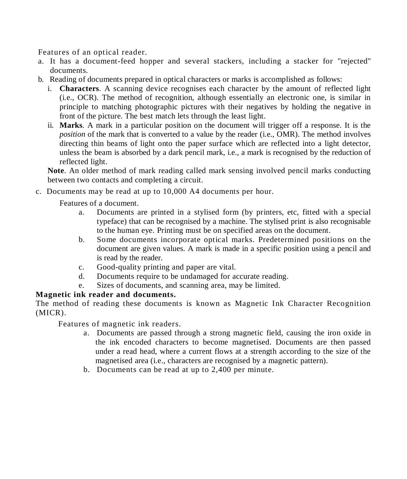Features of an optical reader.

- a. It has a document-feed hopper and several stackers, including a stacker for "rejected" documents.
- b. Reading of documents prepared in optical characters or marks is accomplished as follows:
	- i. **Characters**. A scanning device recognises each character by the amount of reflected light (i.e., OCR). The method of recognition, although essentially an electronic one, is similar in principle to matching photographic pictures with their negatives by holding the negative in front of the picture. The best match lets through the least light.
	- ii. **Marks**. A mark in a particular position on the document will trigger off a response. It is the *position* of the mark that is converted to a value by the reader (i.e., OMR). The method involves directing thin beams of light onto the paper surface which are reflected into a light detector, unless the beam is absorbed by a dark pencil mark, i.e., a mark is recognised by the reduction of reflected light.

**Note**. An older method of mark reading called mark sensing involved pencil marks conducting between two contacts and completing a circuit.

c. Documents may be read at up to 10,000 A4 documents per hour.

Features of a document.

- a. Documents are printed in a stylised form (by printers, etc, fitted with a special typeface) that can be recognised by a machine. The stylised print is also recognisable to the human eye. Printing must be on specified areas on the document.
- b. Some documents incorporate optical marks. Predetermined positions on the document are given values. A mark is made in a specific position using a pencil and is read by the reader.
- c. Good-quality printing and paper are vital.
- d. Documents require to be undamaged for accurate reading.
- e. Sizes of documents, and scanning area, may be limited.

# **Magnetic ink reader and documents.**

The method of reading these documents is known as Magnetic Ink Character Recognition (MICR).

Features of magnetic ink readers.

- a. Documents are passed through a strong magnetic field, causing the iron oxide in the ink encoded characters to become magnetised. Documents are then passed under a read head, where a current flows at a strength according to the size of the magnetised area (i.e., characters are recognised by a magnetic pattern).
- b. Documents can be read at up to 2,400 per minute.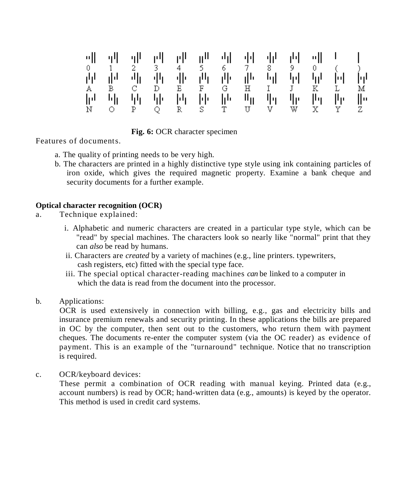|  | 그리 그 아이들이 아니 그리 아이들이 아이들이 아이들이 어디 있다.                    |  |  |  |  |  |
|--|----------------------------------------------------------|--|--|--|--|--|
|  |                                                          |  |  |  |  |  |
|  |                                                          |  |  |  |  |  |
|  | A B C D E F G H I J K L M                                |  |  |  |  |  |
|  | chet tehn tyle tyle tyle tyle the tyle the team the flex |  |  |  |  |  |
|  | NOPQRSTUVWXYZ                                            |  |  |  |  |  |

**Fig. 6:** OCR character specimen

Features of documents.

- a. The quality of printing needs to be very high.
- b. The characters are printed in a highly distinctive type style using ink containing particles of iron oxide, which gives the required magnetic property. Examine a bank cheque and security documents for a further example.

# **Optical character recognition (OCR)**

- a. Technique explained:
	- i. Alphabetic and numeric characters are created in a particular type style, which can be "read" by special machines. The characters look so nearly like "normal" print that they can *also* be read by humans.
	- ii. Characters are *created* by a variety of machines (e.g., line printers. typewriters, cash registers, etc) fitted with the special type face.
	- iii. The special optical character-reading machines *can* be linked to a computer in which the data is read from the document into the processor.
- b. Applications:

OCR is used extensively in connection with billing, e.g., gas and electricity bills and insurance premium renewals and security printing. In these applications the bills are prepared in OC by the computer, then sent out to the customers, who return them with payment cheques. The documents re-enter the computer system (via the OC reader) as evidence of payment. This is an example of the "turnaround" technique. Notice that no transcription is required.

c. OCR/keyboard devices:

These permit a combination of OCR reading with manual keying. Printed data (e.g., account numbers) is read by OCR; hand-written data (e.g., amounts) is keyed by the operator. This method is used in credit card systems.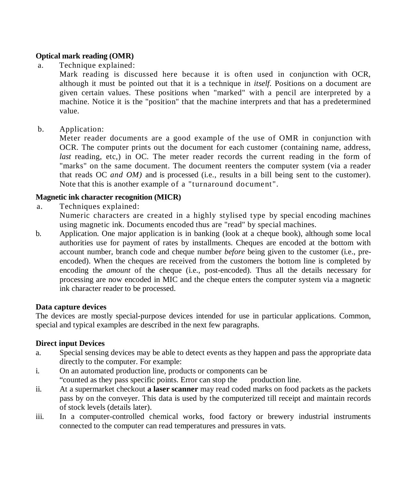## **Optical mark reading (OMR)**

# a. Technique explained:

Mark reading is discussed here because it is often used in conjunction with OCR, although it must be pointed out that it is a technique in *itself.* Positions on a document are given certain values. These positions when "marked" with a pencil are interpreted by a machine. Notice it is the "position" that the machine interprets and that has a predetermined value.

# b. Application:

Meter reader documents are a good example of the use of OMR in conjunction with OCR. The computer prints out the document for each customer (containing name, address, *last* reading, etc,) in OC. The meter reader records the current reading in the form of "marks" on the same document. The document reenters the computer system (via a reader that reads OC *and OM)* and is processed (i.e., results in a bill being sent to the customer). Note that this is another example of a "turnaround document".

## **Magnetic ink character recognition (MICR)**

a. Techniques explained:

Numeric characters are created in a highly stylised type by special encoding machines using magnetic ink. Documents encoded thus are "read" by special machines.

b. Application. One major application is in banking (look at a cheque book), although some local authorities use for payment of rates by installments. Cheques are encoded at the bottom with account number, branch code and cheque number *before* being given to the customer (i.e., preencoded). When the cheques are received from the customers the bottom line is completed by encoding the *amount* of the cheque (i.e., post-encoded). Thus all the details necessary for processing are now encoded in MIC and the cheque enters the computer system via a magnetic ink character reader to be processed.

## **Data capture devices**

The devices are mostly special-purpose devices intended for use in particular applications. Common, special and typical examples are described in the next few paragraphs.

## **Direct input Devices**

- a. Special sensing devices may be able to detect events as they happen and pass the appropriate data directly to the computer. For example:
- i. On an automated production line, products or components can be "counted as they pass specific points. Error can stop the production line.
- ii. At a supermarket checkout **a laser scanner** may read coded marks on food packets as the packets pass by on the conveyer. This data is used by the computerized till receipt and maintain records of stock levels (details later).
- iii. In a computer-controlled chemical works, food factory or brewery industrial instruments connected to the computer can read temperatures and pressures in vats.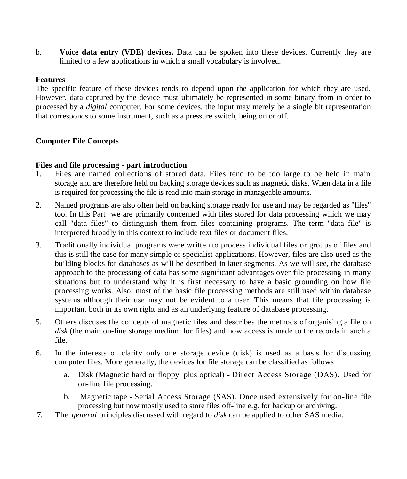b. **Voice data entry (VDE) devices.** Data can be spoken into these devices. Currently they are limited to a few applications in which a small vocabulary is involved.

## **Features**

The specific feature of these devices tends to depend upon the application for which they are used. However, data captured by the device must ultimately be represented in some binary from in order to processed by a *digital* computer. For some devices, the input may merely be a single bit representation that corresponds to some instrument, such as a pressure switch, being on or off.

# **Computer File Concepts**

# **Files and file processing - part introduction**

- 1. Files are named collections of stored data. Files tend to be too large to be held in main storage and are therefore held on backing storage devices such as magnetic disks. When data in a file is required for processing the file is read into main storage in manageable amounts.
- 2. Named programs are also often held on backing storage ready for use and may be regarded as "files" too. In this Part we are primarily concerned with files stored for data processing which we may call "data files" to distinguish them from files containing programs. The term "data file" is interpreted broadly in this context to include text files or document files.
- 3. Traditionally individual programs were written to process individual files or groups of files and this is still the case for many simple or specialist applications. However, files are also used as the building blocks for databases as will be described in later segments. As we will see, the database approach to the processing of data has some significant advantages over file processing in many situations but to understand why it is first necessary to have a basic grounding on how file processing works. Also, most of the basic file processing methods are still used within database systems although their use may not be evident to a user. This means that file processing is important both in its own right and as an underlying feature of database processing.
- 5. Others discuses the concepts of magnetic files and describes the methods of organising a file on *disk* (the main on-line storage medium for files) and how access is made to the records in such a file.
- 6. In the interests of clarity only one storage device (disk) is used as a basis for discussing computer files. More generally, the devices for file storage can be classified as follows:
	- a. Disk (Magnetic hard or floppy, plus optical) Direct Access Storage (DAS). Used for on-line file processing.
	- b. Magnetic tape Serial Access Storage (SAS). Once used extensively for on-line file processing but now mostly used to store files off-line e.g. for backup or archiving.
- 7. The *general* principles discussed with regard to *disk* can be applied to other SAS media.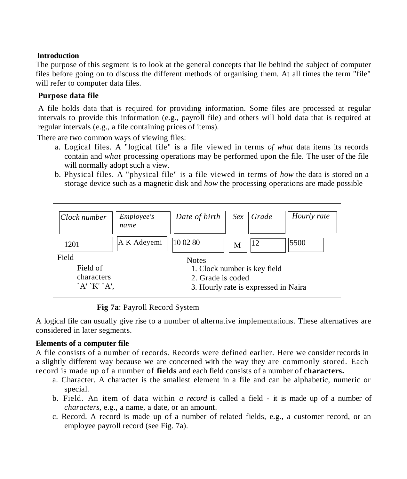# **Introduction**

The purpose of this segment is to look at the general concepts that lie behind the subject of computer files before going on to discuss the different methods of organising them. At all times the term "file" will refer to computer data files.

# **Purpose data file**

A file holds data that is required for providing information. Some files are processed at regular intervals to provide this information (e.g., payroll file) and others will hold data that is required at regular intervals (e.g., a file containing prices of items).

There are two common ways of viewing files:

- a. Logical files. A "logical file" is a file viewed in terms *of what* data items its records contain and *what* processing operations may be performed upon the file. The user of the file will normally adopt such a view.
- b. Physical files. A "physical file" is a file viewed in terms of *how* the data is stored on a storage device such as a magnetic disk and *how* the processing operations are made possible



# **Fig 7a**: Payroll Record System

A logical file can usually give rise to a number of alternative implementations. These alternatives are considered in later segments.

# **Elements of a computer file**

A file consists of a number of records. Records were defined earlier. Here we consider records in a slightly different way because we are concerned with the way they are commonly stored. Each record is made up of a number of **fields** and each field consists of a number of **characters.**

- a. Character. A character is the smallest element in a file and can be alphabetic, numeric or special.
- b. Field. An item of data within *a record* is called a field it is made up of a number of *characters,* e.g., a name, a date, or an amount.
- c. Record. A record is made up of a number of related fields, e.g., a customer record, or an employee payroll record (see Fig. 7a).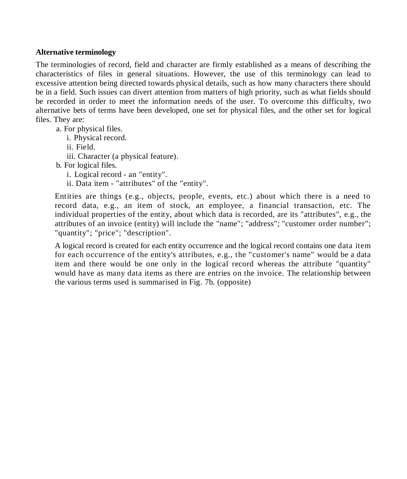### **Alternative terminology**

The terminologies of record, field and character are firmly established as a means of describing the characteristics of files in general situations. However, the use of this terminology can lead to excessive attention being directed towards physical details, such as how many characters there should be in a field. Such issues can divert attention from matters of high priority, such as what fields should be recorded in order to meet the information needs of the user. To overcome this difficulty, two alternative bets of terms have been developed, one set for physical files, and the other set for logical files. They are:

a. For physical files.

i. Physical record.

ii. Field.

iii. Character (a physical feature).

b. For logical files.

i. Logical record - an "entity".

ii. Data item - "attributes" of the "entity".

Entities are things (e.g., objects, people, events, etc.) about which there is a need to record data, e.g., an item of stock, an employee, a financial transaction, etc. The individual properties of the entity, about which data is recorded, are its "attributes", e.g., the attributes of an invoice (entity) will include the "name"; "address"; "customer order number"; "quantity"; "price"; "description".

A logical record is created for each entity occurrence and the logical record contains one data item for each occurrence of the entity's attributes, e.g., the "customer's name" would be a data item and there would be one only in the logical record whereas the attribute "quantity" would have as many data items as there are entries on the invoice. The relationship between the various terms used is summarised in Fig. 7b. (opposite)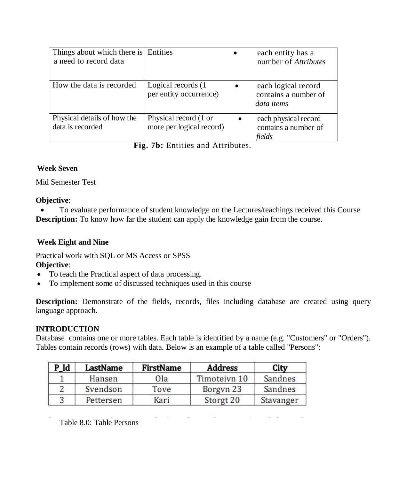| Things about which there is Entities<br>a need to record data |                                                   |           | each entity has a<br>number of Attributes                 |
|---------------------------------------------------------------|---------------------------------------------------|-----------|-----------------------------------------------------------|
| How the data is recorded                                      | Logical records (1<br>per entity occurrence)      | $\bullet$ | each logical record<br>contains a number of<br>data items |
| Physical details of how the<br>data is recorded               | Physical record (1 or<br>more per logical record) | $\bullet$ | each physical record<br>contains a number of<br>fields    |

**Fig. 7b:** Entities and Attributes.

# **Week Seven**

Mid Semester Test

# **Objective**:

 To evaluate performance of student knowledge on the Lectures/teachings received this Course **Description:** To know how far the student can apply the knowledge gain from the course.

# **Week Eight and Nine**

Practical work with SQL or MS Access or SPSS **Objective**:

- To teach the Practical aspect of data processing.
- To implement some of discussed techniques used in this course

**Description:** Demonstrate of the fields, records, files including database are created using query language approach.

# **INTRODUCTION**

Database contains one or more tables. Each table is identified by a name (e.g. "Customers" or "Orders"). Tables contain records (rows) with data. Below is an example of a table called "Persons":

| P_Id | LastName  | FirstName | <b>Address</b> | City      |
|------|-----------|-----------|----------------|-----------|
|      | Hansen    | Ola       | Timoteivn 10   | Sandnes   |
|      | Svendson  | Tove      | Borgyn 23      | Sandnes   |
|      | Pettersen | Kari      | Storgt 20      | Stavanger |

 $\mathcal{L}_{\text{max}}$ 

**Transfer** 

**COLLEGE** 

 $1 - 20$ 

Table 8.0: Table Persons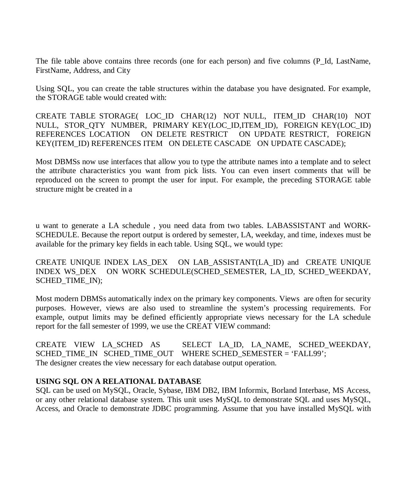The file table above contains three records (one for each person) and five columns (P\_Id, LastName, FirstName, Address, and City

Using SQL, you can create the table structures within the database you have designated. For example, the STORAGE table would created with:

CREATE TABLE STORAGE( LOC\_ID CHAR(12) NOT NULL, ITEM\_ID CHAR(10) NOT NULL, STOR\_QTY NUMBER, PRIMARY KEY(LOC\_ID,ITEM\_ID), FOREIGN KEY(LOC\_ID) REFERENCES LOCATION ON DELETE RESTRICT ON UPDATE RESTRICT, FOREIGN KEY(ITEM\_ID) REFERENCES ITEM\_ON DELETE CASCADE ON UPDATE CASCADE):

Most DBMSs now use interfaces that allow you to type the attribute names into a template and to select the attribute characteristics you want from pick lists. You can even insert comments that will be reproduced on the screen to prompt the user for input. For example, the preceding STORAGE table structure might be created in a

u want to generate a LA schedule , you need data from two tables. LABASSISTANT and WORK-SCHEDULE. Because the report output is ordered by semester, LA, weekday, and time, indexes must be available for the primary key fields in each table. Using SQL, we would type:

CREATE UNIQUE INDEX LAS\_DEX ON LAB\_ASSISTANT(LA\_ID) and CREATE UNIQUE INDEX WS\_DEX ON WORK SCHEDULE(SCHED\_SEMESTER, LA\_ID, SCHED\_WEEKDAY, SCHED\_TIME\_IN);

Most modern DBMSs automatically index on the primary key components. Views are often for security purposes. However, views are also used to streamline the system's processing requirements. For example, output limits may be defined efficiently appropriate views necessary for the LA schedule report for the fall semester of 1999, we use the CREAT VIEW command:

CREATE VIEW LA\_SCHED AS SELECT LA\_ID, LA\_NAME, SCHED\_WEEKDAY, SCHED\_TIME\_IN\_SCHED\_TIME\_OUT\_WHERE SCHED\_SEMESTER = 'FALL99'; The designer creates the view necessary for each database output operation.

## **USING SQL ON A RELATIONAL DATABASE**

SQL can be used on MySQL, Oracle, Sybase, IBM DB2, IBM Informix, Borland Interbase, MS Access, or any other relational database system. This unit uses MySQL to demonstrate SQL and uses MySQL, Access, and Oracle to demonstrate JDBC programming. Assume that you have installed MySQL with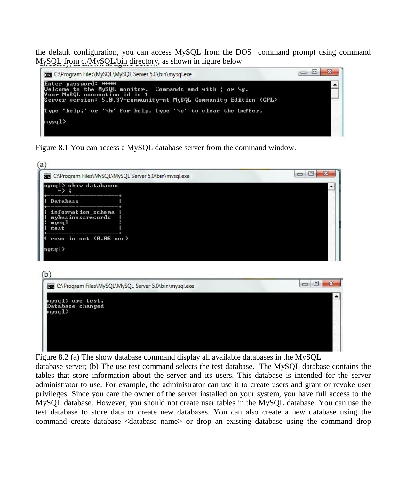the default configuration, you can access MySQL from the DOS command prompt using command MySQL from c./MySQL/bin directory, as shown in figure below.



 $\overline{a}$ Figure 8.1 You can access a MySQL database server from the command window.



Figure 8.2 (a) The show database command display all available databases in the MySQL

database server; (b) The use test command selects the test database. The MySQL database contains the tables that store information about the server and its users. This database is intended for the server administrator to use. For example, the administrator can use it to create users and grant or revoke user privileges. Since you care the owner of the server installed on your system, you have full access to the MySQL database. However, you should not create user tables in the MySQL database. You can use the test database to store data or create new databases. You can also create a new database using the command create database <database name> or drop an existing database using the command drop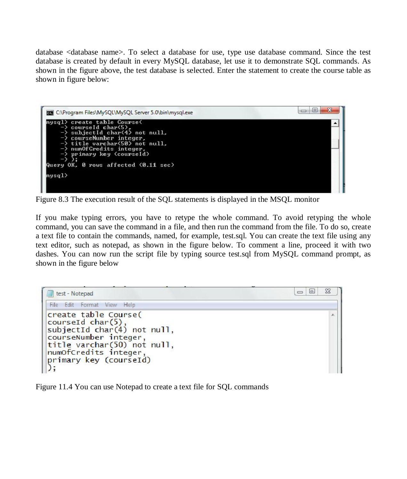database <database name>. To select a database for use, type use database command. Since the test database is created by default in every MySQL database, let use it to demonstrate SQL commands. As shown in the figure above, the test database is selected. Enter the statement to create the course table as shown in figure below:



Figure 8.3 The execution result of the SQL statements is displayed in the MSQL monitor

If you make typing errors, you have to retype the whole command. To avoid retyping the whole command, you can save the command in a file, and then run the command from the file. To do so, create a text file to contain the commands, named, for example, test.sql. You can create the text file using any text editor, such as notepad, as shown in the figure below. To comment a line, proceed it with two dashes. You can now run the script file by typing source test.sql from MySQL command prompt, as shown in the figure below

| test - Notepad                                                                                                                                                                             | 23<br>$\Box$ |
|--------------------------------------------------------------------------------------------------------------------------------------------------------------------------------------------|--------------|
| File Edit Format View Help                                                                                                                                                                 |              |
| create table Course(<br>$courseId$ $char(5)$ ,<br>subjectId $char(4)$ not null,<br>courseNumber integer,<br>title varchar(50) not null,<br>numOfCredits integer,<br>primary key (courseId) |              |

Figure 11.4 You can use Notepad to create a text file for SQL commands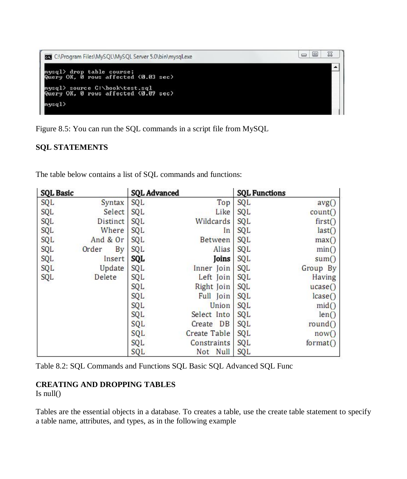

Figure 8.5: You can run the SQL commands in a script file from MySQL

# **SQL STATEMENTS**

The table below contains a list of SQL commands and functions:

| <b>SQL Basic</b> |          |          | <b>SQL Advanced</b> |              | <b>SQL Functions</b> |            |
|------------------|----------|----------|---------------------|--------------|----------------------|------------|
| SQL              |          | Syntax   | SQL                 | Top          | SQL                  | avg()      |
| SQL              |          | Select   | SQL                 | Like         | SQL                  | count()    |
| SQL              |          | Distinct | SQL                 | Wildcards    | SQL                  | first()    |
| SQL              |          | Where    | SQL                 | In           | SQL                  | last()     |
| SQL              | And & Or |          | SQL                 | Between      | SQL                  | max()      |
| SQL              | Order    | By       | SQL                 | Alias        | SQL                  | min()      |
| SQL              |          | Insert   | SQL                 | Joins        | SQL                  | sum()      |
| SQL              |          | Update   | SQL                 | Inner Join   | SQL                  | Group By   |
| SQL              | Delete   |          | SQL                 | Left Join    | SQL                  | Having     |
|                  |          |          | SQL                 | Right Join   | SQL                  | ucase()    |
|                  |          |          | SQL                 | Full Join    | SQL                  | lcase()    |
|                  |          |          | SQL                 | Union        | SQL                  | mid()      |
|                  |          |          | SQL                 | Select Into  | SQL                  | len()      |
|                  |          |          | SQL                 | Create DB    | SQL                  | round $()$ |
|                  |          |          | SQL                 | Create Table | SQL                  | now()      |
|                  |          |          | SQL                 | Constraints  | SQL                  | format()   |
|                  |          |          | SQL                 | Not Null     | SQL                  |            |

Table 8.2: SQL Commands and Functions SQL Basic SQL Advanced SQL Func

# **CREATING AND DROPPING TABLES**

Is null()

Tables are the essential objects in a database. To creates a table, use the create table statement to specify a table name, attributes, and types, as in the following example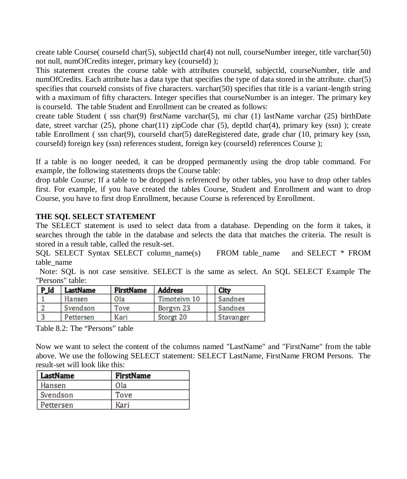create table Course( courseId char(5), subjectId char(4) not null, courseNumber integer, title varchar(50) not null, numOfCredits integer, primary key (courseId) );

This statement creates the course table with attributes courseld, subjectld, courseNumber, title and numOfCredits. Each attribute has a data type that specifies the type of data stored in the attribute. char(5) specifies that courseld consists of five characters. varchar(50) specifies that title is a variant-length string with a maximum of fifty characters. Integer specifies that courseNumber is an integer. The primary key is courseId. The table Student and Enrollment can be created as follows:

create table Student ( ssn char(9) firstName varchar(5), mi char (1) lastName varchar (25) birthDate date, street varchar  $(25)$ , phone char $(11)$  zipCode char  $(5)$ , deptId char $(4)$ , primary key (ssn) ); create table Enrollment ( ssn char(9), courseId char(5) dateRegistered date, grade char (10, primary key (ssn, courseId) foreign key (ssn) references student, foreign key (courseId) references Course );

If a table is no longer needed, it can be dropped permanently using the drop table command. For example, the following statements drops the Course table:

drop table Course; If a table to be dropped is referenced by other tables, you have to drop other tables first. For example, if you have created the tables Course, Student and Enrollment and want to drop Course, you have to first drop Enrollment, because Course is referenced by Enrollment.

# **THE SQL SELECT STATEMENT**

The SELECT statement is used to select data from a database. Depending on the form it takes, it searches through the table in the database and selects the data that matches the criteria. The result is stored in a result table, called the result-set.

SQL SELECT Syntax SELECT column\_name(s) FROM table\_name and SELECT \* FROM table\_name

 Note: SQL is not case sensitive. SELECT is the same as select. An SQL SELECT Example The "Persons" table:

| P_Id   | LastName  | <b>FirstName</b> | <b>Address</b> | City      |
|--------|-----------|------------------|----------------|-----------|
|        | Hansen    | Ola              | Timoteivn 10   | Sandnes   |
| ∸      | Svendson  | Tove             | Borgyn 23      | Sandnes   |
| э<br>C | Pettersen | Kari             | Storgt 20      | Stavanger |

Table 8.2: The "Persons" table

Now we want to select the content of the columns named "LastName" and "FirstName" from the table above. We use the following SELECT statement: SELECT LastName, FirstName FROM Persons. The result-set will look like this:

| LastName  | FirstName |  |
|-----------|-----------|--|
| Hansen    | Ola       |  |
| Svendson  | Tove      |  |
| Pettersen | Kari      |  |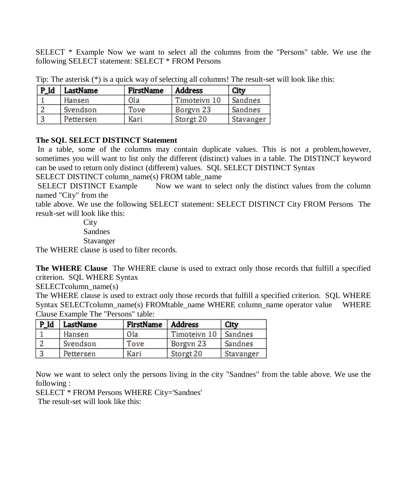SELECT \* Example Now we want to select all the columns from the "Persons" table. We use the following SELECT statement: SELECT \* FROM Persons

| P_Id           | LastName  | FirstName | <b>Address</b> | City      |
|----------------|-----------|-----------|----------------|-----------|
|                | Hansen    | Ola       | Timoteivn 10   | Sandnes   |
| $\overline{c}$ | Svendson  | Tove      | Borgyn 23      | Sandnes   |
| 3              | Pettersen | Kari      | Storgt 20      | Stavanger |

Tip: The asterisk (\*) is a quick way of selecting all columns! The result-set will look like this:

### **The SQL SELECT DISTINCT Statement**

In a table, some of the columns may contain duplicate values. This is not a problem,however, sometimes you will want to list only the different (distinct) values in a table. The DISTINCT keyword can be used to return only distinct (different) values. SQL SELECT DISTINCT Syntax

SELECT DISTINCT column\_name(s) FROM table\_name

SELECT DISTINCT Example Now we want to select only the distinct values from the column named "City" from the

table above. We use the following SELECT statement: SELECT DISTINCT City FROM Persons The result-set will look like this:

> **City** Sandnes Stavanger

The WHERE clause is used to filter records.

**The WHERE Clause** The WHERE clause is used to extract only those records that fulfill a specified criterion. SQL WHERE Syntax

SELECTcolumn\_name(s)

The WHERE clause is used to extract only those records that fulfill a specified criterion. SQL WHERE Syntax SELECTcolumn\_name(s) FROMtable\_name WHERE column\_name operator value WHERE Clause Example The "Persons" table:

| P_Id | LastName  | FirstName | Address      | City      |
|------|-----------|-----------|--------------|-----------|
|      | Hansen    | Ola       | Timoteivn 10 | Sandnes   |
|      | Svendson  | Tove      | Borgyn 23    | Sandnes   |
| ು    | Pettersen | Kari      | Storgt 20    | Stavanger |

Now we want to select only the persons living in the city "Sandnes" from the table above. We use the following :

SELECT \* FROM Persons WHERE City='Sandnes'

The result-set will look like this: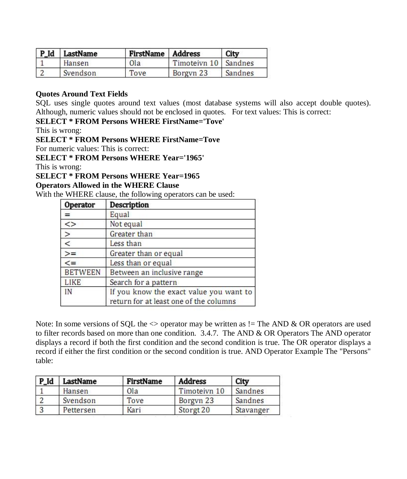| P_Id | LastName | <b>FirstName   Address</b> |                        | City    |
|------|----------|----------------------------|------------------------|---------|
|      | Hansen   | Ola                        | Timoteivn 10   Sandnes |         |
|      | Svendson | Tove                       | Borgyn 23              | Sandnes |

## **Quotes Around Text Fields**

SQL uses single quotes around text values (most database systems will also accept double quotes). Although, numeric values should not be enclosed in quotes. For text values: This is correct:

### **SELECT \* FROM Persons WHERE FirstName='Tove'**

This is wrong:

#### **SELECT \* FROM Persons WHERE FirstName=Tove**

For numeric values: This is correct:

**SELECT \* FROM Persons WHERE Year='1965'** 

This is wrong:

### **SELECT \* FROM Persons WHERE Year=1965**

#### **Operators Allowed in the WHERE Clause**

With the WHERE clause, the following operators can be used:

| Operator          | <b>Description</b>                                                                |
|-------------------|-----------------------------------------------------------------------------------|
| $=$               | Equal                                                                             |
| $\leftrightarrow$ | Not equal                                                                         |
| $\geq$            | Greater than                                                                      |
| $\,<$             | Less than                                                                         |
| $>=$              | Greater than or equal                                                             |
| $\leq$            | Less than or equal                                                                |
| <b>BETWEEN</b>    | Between an inclusive range                                                        |
| LIKE              | Search for a pattern                                                              |
| IN                | If you know the exact value you want to<br>return for at least one of the columns |

Note: In some versions of SQL the  $\leq$  operator may be written as != The AND & OR operators are used to filter records based on more than one condition. 3.4.7. The AND & OR Operators The AND operator displays a record if both the first condition and the second condition is true. The OR operator displays a record if either the first condition or the second condition is true. AND Operator Example The "Persons" table:

| P_Id | LastName  | FirstName | <b>Address</b> | City      |
|------|-----------|-----------|----------------|-----------|
|      | Hansen    | Ola       | Timoteivn 10   | Sandnes   |
|      | Svendson  | Tove      | Borgyn 23      | Sandnes   |
|      | Pettersen | Kari      | Storgt 20      | Stavanger |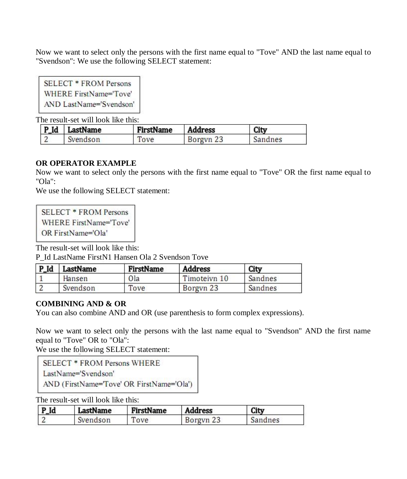Now we want to select only the persons with the first name equal to "Tove" AND the last name equal to "Svendson": We use the following SELECT statement:

**SELECT \* FROM Persons** WHERE FirstName='Tove' AND LastName='Svendson'

The result-set will look like this:

| $P_{d}$ | LastName | FirstName | <b>Address</b> | City    |
|---------|----------|-----------|----------------|---------|
|         | Svendson | Tove      | Borgyn 23      | Sandnes |

# **OR OPERATOR EXAMPLE**

Now we want to select only the persons with the first name equal to "Tove" OR the first name equal to "Ola":

We use the following SELECT statement:

**SELECT \* FROM Persons** WHERE FirstName='Tove'

OR FirstName='Ola'

The result-set will look like this:

P\_Id LastName FirstN1 Hansen Ola 2 Svendson Tove

| P_Id | LastName | FirstName | <b>Address</b> | City    |
|------|----------|-----------|----------------|---------|
|      | Hansen   | Ola       | Timoteivn 10   | Sandnes |
|      | Svendson | Tove      | Borgyn 23      | Sandnes |

## **COMBINING AND & OR**

You can also combine AND and OR (use parenthesis to form complex expressions).

Now we want to select only the persons with the last name equal to "Svendson" AND the first name equal to "Tove" OR to "Ola":

We use the following SELECT statement:

**SELECT \* FROM Persons WHERE** 

LastName='Svendson'

AND (FirstName='Tove' OR FirstName='Ola')

The result-set will look like this:

| $P_{d}$ | LastName | FirstName | Address   | City    |
|---------|----------|-----------|-----------|---------|
|         | Svendson | Tove      | Borgyn 23 | Sandnes |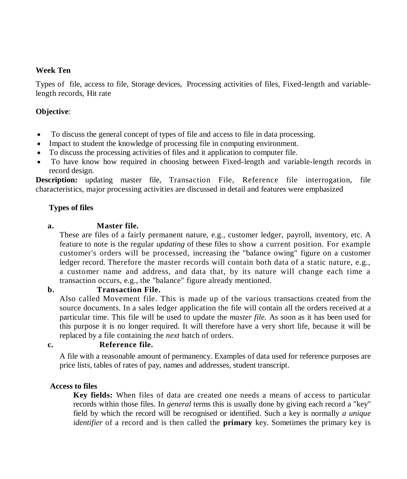## **Week Ten**

Types of file, access to file, Storage devices, Processing activities of files, Fixed-length and variablelength records, Hit rate

# **Objective**:

- To discuss the general concept of types of file and access to file in data processing.
- Impact to student the knowledge of processing file in computing environment.
- To discuss the processing activities of files and it application to computer file.
- To have know how required in choosing between Fixed-length and variable-length records in record design.

**Description:** updating master file, Transaction File, Reference file interrogation, file characteristics, major processing activities are discussed in detail and features were emphasized

# **Types of files**

## **a. Master file.**

These are files of a fairly permanent nature, e.g., customer ledger, payroll, inventory, etc. A feature to note is the regular *updating* of these files to show a current position. For example customer's orders will be processed, increasing the "balance owing" figure on a customer ledger record. Therefore the master records will contain both data of a static nature, e.g., a customer name and address, and data that, by its nature will change each time a transaction occurs, e.g., the "balance" figure already mentioned.

**b. Transaction File.** 

Also called Movement file. This is made up of the various transactions created from the source documents. In a sales ledger application the file will contain all the orders received at a particular time. This file will be used to update the *master file.* As soon as it has been used for this purpose it is no longer required. It will therefore have a very short life, because it will be replaced by a file containing the *next* batch of orders.

## **c. Reference file.**

A file with a reasonable amount of permanency. Examples of data used for reference purposes are price lists, tables of rates of pay, names and addresses, student transcript.

## **Access to files**

**Key fields:** When files of data are created one needs a means of access to particular records within those files. In *general* terms this is usually done by giving each record a "key" field by which the record will be recognised or identified. Such a key is normally *a unique identifier* of a record and is then called the **primary** key. Sometimes the primary key is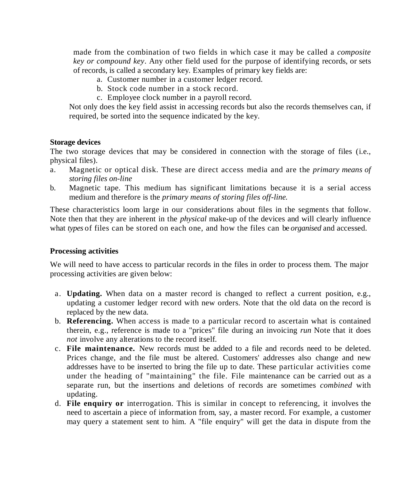made from the combination of two fields in which case it may be called a *composite key or compound key*. Any other field used for the purpose of identifying records, or sets of records, is called a secondary key. Examples of primary key fields are:

- a. Customer number in a customer ledger record.
- b. Stock code number in a stock record.
- c. Employee clock number in a payroll record.

Not only does the key field assist in accessing records but also the records themselves can, if required, be sorted into the sequence indicated by the key.

### **Storage devices**

The two storage devices that may be considered in connection with the storage of files (i.e., physical files).

- a. Magnetic or optical disk. These are direct access media and are the *primary means of storing files on-line*
- b. Magnetic tape. This medium has significant limitations because it is a serial access medium and therefore is the *primary means of storing files off-line.*

These characteristics loom large in our considerations about files in the segments that follow. Note then that they are inherent in the *physical* make-up of the devices and will clearly influence what *types* of files can be stored on each one, and how the files can be *organised* and accessed.

## **Processing activities**

We will need to have access to particular records in the files in order to process them. The major processing activities are given below:

- a. **Updating.** When data on a master record is changed to reflect a current position, e.g., updating a customer ledger record with new orders. Note that the old data on the record is replaced by the new data.
- b. **Referencing.** When access is made to a particular record to ascertain what is contained therein, e.g., reference is made to a "prices" file during an invoicing *run* Note that it does *not* involve any alterations to the record itself.
- c. **File maintenance.** New records must be added to a file and records need to be deleted. Prices change, and the file must be altered. Customers' addresses also change and new addresses have to be inserted to bring the file up to date. These particular activities come under the heading of "maintaining" the file. File maintenance can be carried out as a separate run, but the insertions and deletions of records are sometimes *combined* with updating.
- d. **File enquiry or** interrogation. This is similar in concept to referencing, it involves the need to ascertain a piece of information from, say, a master record. For example, a customer may query a statement sent to him. A "file enquiry" will get the data in dispute from the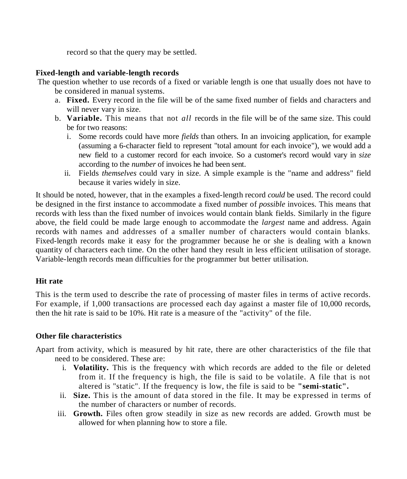record so that the query may be settled.

## **Fixed-length and variable-length records**

The question whether to use records of a fixed or variable length is one that usually does not have to be considered in manual systems.

- a. **Fixed.** Every record in the file will be of the same fixed number of fields and characters and will never vary in size.
- b. **Variable.** This means that not *all* records in the file will be of the same size. This could be for two reasons:
	- i. Some records could have more *fields* than others. In an invoicing application, for example (assuming a 6-character field to represent "total amount for each invoice"), we would add a new field to a customer record for each invoice. So a customer's record would vary in *size*  according to the *number* of invoices he had been sent.
	- ii. Fields *themselves* could vary in size. A simple example is the "name and address" field because it varies widely in size.

It should be noted, however, that in the examples a fixed-length record *could* be used. The record could be designed in the first instance to accommodate a fixed number of *possible* invoices. This means that records with less than the fixed number of invoices would contain blank fields. Similarly in the figure above, the field could be made large enough to accommodate the *largest* name and address. Again records with names and addresses of a smaller number of characters would contain blanks. Fixed-length records make it easy for the programmer because he or she is dealing with a known quantity of characters each time. On the other hand they result in less efficient utilisation of storage. Variable-length records mean difficulties for the programmer but better utilisation.

## **Hit rate**

This is the term used to describe the rate of processing of master files in terms of active records. For example, if 1,000 transactions are processed each day against a master file of 10,000 records, then the hit rate is said to be 10%. Hit rate is a measure of the "activity" of the file.

## **Other file characteristics**

Apart from activity, which is measured by hit rate, there are other characteristics of the file that need to be considered. These are:

- i. **Volatility.** This is the frequency with which records are added to the file or deleted from it. If the frequency is high, the file is said to be volatile. A file that is not altered is "static". If the frequency is low, the file is said to be **"semi-static".**
- ii. **Size.** This is the amount of data stored in the file. It may be expressed in terms of the number of characters or number of records.
- iii. **Growth.** Files often grow steadily in size as new records are added. Growth must be allowed for when planning how to store a file.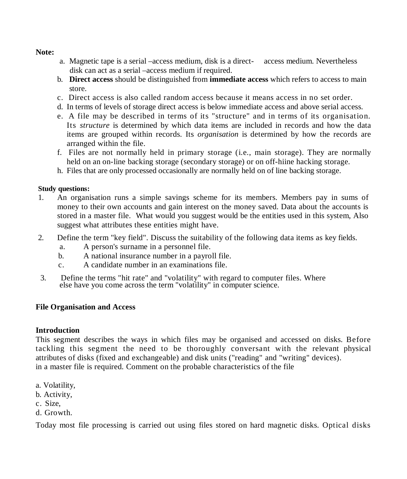### **Note:**

- a. Magnetic tape is a serial –access medium, disk is a direct- access medium. Nevertheless disk can act as a serial –access medium if required.
- b. **Direct access** should be distinguished from **immediate access** which refers to access to main store.
- c. Direct access is also called random access because it means access in no set order.
- d. In terms of levels of storage direct access is below immediate access and above serial access.
- e. A file may be described in terms of its "structure" and in terms of its organisation. Its *structure* is determined by which data items are included in records and how the data items are grouped within records. Its *organisation* is determined by how the records are arranged within the file.
- f. Files are not normally held in primary storage (i.e., main storage). They are normally held on an on-line backing storage (secondary storage) or on off-hiine hacking storage.
- h. Files that are only processed occasionally are normally held on of line backing storage.

## **Study questions:**

- 1. An organisation runs a simple savings scheme for its members. Members pay in sums of money to their own accounts and gain interest on the money saved. Data about the accounts is stored in a master file. What would you suggest would be the entities used in this system, Also suggest what attributes these entities might have.
- 2. Define the term "key field". Discuss the suitability of the following data items as key fields.
	- a. A person's surname in a personnel file.
	- b. A national insurance number in a payroll file.
	- c. A candidate number in an examinations file.
- 3. Define the terms "hit rate" and "volatility" with regard to computer files. Where else have you come across the term "volatility" in computer science.

# **File Organisation and Access**

## **Introduction**

This segment describes the ways in which files may be organised and accessed on disks. Before tackling this segment the need to be thoroughly conversant with the relevant physical attributes of disks (fixed and exchangeable) and disk units ("reading" and "writing" devices). in a master file is required. Comment on the probable characteristics of the file

- a. Volatility,
- b. Activity,
- c. Size,
- d. Growth.

Today most file processing is carried out using files stored on hard magnetic disks. Optical disks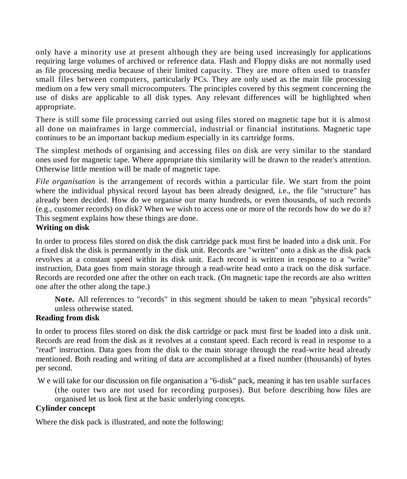only have a minority use at present although they are being used increasingly for applications requiring large volumes of archived or reference data. Flash and Floppy disks are not normally used as file processing media because of their limited capacity. They are more often used to transfer small files between computers, particularly PCs. They are only used as the main file processing medium on a few very small microcomputers. The principles covered by this segment concerning the use of disks are applicable to all disk types. Any relevant differences will be highlighted when appropriate.

There is still some file processing carried out using files stored on magnetic tape but it is almost all done on mainframes in large commercial, industrial or financial institutions. Magnetic tape continues to be an important backup medium especially in its cartridge forms.

The simplest methods of organising and accessing files on disk are very similar to the standard ones used for magnetic tape. Where appropriate this similarity will be drawn to the reader's attention. Otherwise little mention will be made of magnetic tape.

*File organisation* is the arrangement of records within a particular file. We start from the point where the individual physical record layout has been already designed, i.e., the file "structure" has already been decided. How do we organise our many hundreds, or even thousands, of such records (e.g., customer records) on disk? When we wish to access one or more of the records how do we do it? This segment explains how these things are done.

# **Writing on disk**

In order to process files stored on disk the disk cartridge pack must first be loaded into a disk unit. For a fixed disk the disk is permanently in the disk unit. Records are "written" onto a disk as the disk pack revolves at a constant speed within its disk unit. Each record is written in response to a "write" instruction, Data goes from main storage through a read-write head onto a track on the disk surface. Records are recorded one after the other on each track. (On magnetic tape the records are also written one after the other along the tape.)

**Note.** All references to "records" in this segment should be taken to mean "physical records" unless otherwise stated.

# **Reading from disk**

In order to process files stored on disk the disk cartridge or pack must first be loaded into a disk unit. Records are read from the disk as it revolves at a constant speed. Each record is read in response to a "read" instruction. Data goes from the disk to the main storage through the read-write head already mentioned. Both reading and writing of data are accomplished at a fixed number (thousands) of bytes per second.

W e will take for our discussion on file organisation a "6-disk" pack, meaning it has ten usable surfaces (the outer two are not used for recording purposes). But before describing how files are organised let us look first at the basic underlying concepts.

# **Cylinder concept**

Where the disk pack is illustrated, and note the following: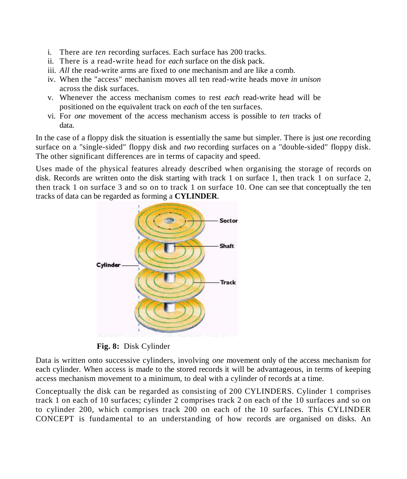- i. There are *ten* recording surfaces. Each surface has 200 tracks.
- ii. There is a read-write head for *each* surface on the disk pack.
- iii. *All* the read-write arms are fixed to *one* mechanism and are like a comb.
- iv. When the "access" mechanism moves all ten read-write heads move *in unison* across the disk surfaces.
- v. Whenever the access mechanism comes to rest *each* read-write head will be positioned on the equivalent track on *each* of the ten surfaces.
- vi. For *one* movement of the access mechanism access is possible to *ten* tracks of data.

In the case of a floppy disk the situation is essentially the same but simpler. There is just *one* recording surface on a "single-sided" floppy disk and *two* recording surfaces on a "double-sided" floppy disk. The other significant differences are in terms of capacity and speed.

Uses made of the physical features already described when organising the storage of records on disk. Records are written onto the disk starting with track 1 on surface 1, then track 1 on surface 2, then track 1 on surface 3 and so on to track 1 on surface 10. One can see that conceptually the ten tracks of data can be regarded as forming a **CYLINDER**.



**Fig. 8:** Disk Cylinder

Data is written onto successive cylinders, involving *one* movement only of the access mechanism for each cylinder. When access is made to the stored records it will be advantageous, in terms of keeping access mechanism movement to a minimum, to deal with a cylinder of records at a time.

Conceptually the disk can be regarded as consisting of 200 CYLINDERS. Cylinder 1 comprises track 1 on each of 10 surfaces; cylinder 2 comprises track 2 on each of the 10 surfaces and so on to cylinder 200, which comprises track 200 on each of the 10 surfaces. This CYLINDER CONCEPT is fundamental to an understanding of how records are organised on disks. An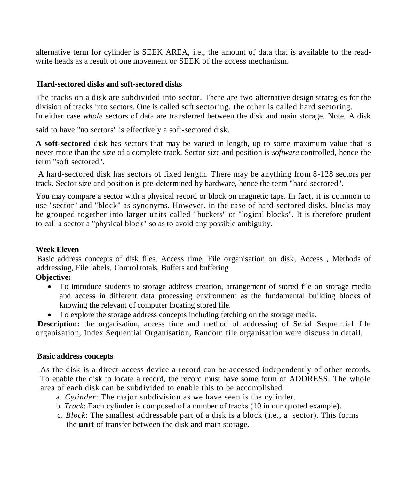alternative term for cylinder is SEEK AREA, i.e., the amount of data that is available to the readwrite heads as a result of one movement or SEEK of the access mechanism.

### **Hard-sectored disks and soft-sectored disks**

The tracks on a disk are subdivided into sector. There are two alternative design strategies for the division of tracks into sectors. One is called soft sectoring, the other is called hard sectoring. In either case *whole* sectors of data are transferred between the disk and main storage. Note. A disk

said to have "no sectors" is effectively a soft-sectored disk.

**A soft-sectored** disk has sectors that may be varied in length, up to some maximum value that is never more than the size of a complete track. Sector size and position is *software* controlled, hence the term "soft sectored".

A hard-sectored disk has sectors of fixed length. There may be anything from 8-128 sectors per track. Sector size and position is pre-determined by hardware, hence the term "hard sectored".

You may compare a sector with a physical record or block on magnetic tape. In fact, it is common to use "sector" and "block" as synonyms. However, in the case of hard-sectored disks, blocks may be grouped together into larger units called "buckets" or "logical blocks". It is therefore prudent to call a sector a "physical block" so as to avoid any possible ambiguity.

## **Week Eleven**

Basic address concepts of disk files, Access time, File organisation on disk, Access , Methods of addressing, File labels, Control totals, Buffers and buffering

## **Objective:**

- To introduce students to storage address creation, arrangement of stored file on storage media and access in different data processing environment as the fundamental building blocks of knowing the relevant of computer locating stored file.
- To explore the storage address concepts including fetching on the storage media.

**Description:** the organisation, access time and method of addressing of Serial Sequential file organisation, Index Sequential Organisation, Random file organisation were discuss in detail.

#### **Basic address concepts**

As the disk is a direct-access device a record can be accessed independently of other records. To enable the disk to locate a record, the record must have some form of ADDRESS. The whole area of each disk can be subdivided to enable this to be accomplished.

- a. *Cylinder*: The major subdivision as we have seen is the cylinder.
- b. *Track*: Each cylinder is composed of a number of tracks (10 in our quoted example).
- c. *Block*: The smallest addressable part of a disk is a block (i.e., a sector). This forms the **unit** of transfer between the disk and main storage.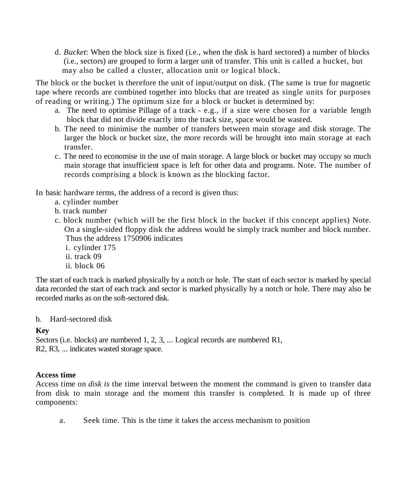d. *Bucket*: When the block size is fixed (i.e., when the disk is hard sectored) a number of blocks (i.e., sectors) are grouped to form a larger unit of transfer. This unit is called a bucket, but may also be called a cluster, allocation unit or logical block.

The block or the bucket is therefore the unit of input/output on disk. (The same is true for magnetic tape where records are combined together into blocks that are treated as single units for purposes of reading or writing.) The optimum size for a block or bucket is determined by:

- a. The need to optimise Pillage of a track e.g., if a size were chosen for a variable length block that did not divide exactly into the track size, space would be wasted.
- b. The need to minimise the number of transfers between main storage and disk storage. The larger the block or bucket size, the more records will be brought into main storage at each transfer.
- c. The need to economise in the use of main storage. A large block or bucket may occupy so much main storage that insufficient space is left for other data and programs. Note. The number of records comprising a block is known as the blocking factor.

In basic hardware terms, the address of a record is given thus:

- a. cylinder number
- b. track number
- c. block number (which will be the first block in the bucket if this concept applies) Note. On a single-sided floppy disk the address would be simply track number and block number. Thus the address 1750906 indicates
	- i. cylinder 175
	- ii. track 09
	- ii. block 06

The start of each track is marked physically by a notch or hole. The start of each sector is marked by special data recorded the start of each track and sector is marked physically by a notch or hole. There may also be recorded marks as on the soft-sectored disk.

b. Hard-sectored disk

# **Key**

Sectors (i.e. blocks) are numbered 1, 2, 3, ... Logical records are numbered R1, R2, R3, ... indicates wasted storage space.

# **Access time**

Access time on *disk is* the time interval between the moment the command is given to transfer data from disk to main storage and the moment this transfer is completed. It is made up of three components:

a. Seek time. This is the time it takes the access mechanism to position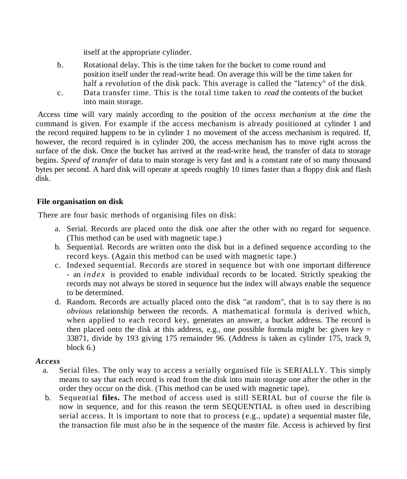itself at the appropriate cylinder.

- b. Rotational delay. This is the time taken for the bucket to come round and position itself under the read-write head. On average this will be the time taken for half a revolution of the disk pack. This average is called the "latency" of the disk.
- c. Data transfer time. This is the total time taken to *read* the contents of the bucket into main storage.

Access time will vary mainly according to the position of the *access mechanism* at the *time* the command is given. For example if the access mechanism is already positioned at cylinder 1 and the record required happens to be in cylinder 1 no movement of the access mechanism is required. If, however, the record required is in cylinder 200, the access mechanism has to move right across the surface of the disk. Once the bucket has arrived at the read-write head, the transfer of data to storage begins. *Speed of transfer* of data to main storage is very fast and is a constant rate of so many thousand bytes per second. A hard disk will operate at speeds roughly 10 times faster than a floppy disk and flash disk.

# **File organisation on disk**

There are four basic methods of organising files on disk:

- a. Serial. Records are placed onto the disk one after the other with no regard for sequence. (This method can be used with magnetic tape.)
- b. Sequential. Records are written onto the disk but in a defined sequence according to the record keys. (Again this method can be used with magnetic tape.)
- c. Indexed sequential. Records are stored in sequence but with one important difference - an *inde x* is provided to enable individual records to be located. Strictly speaking the records may not always be stored in sequence but the index will always enable the sequence to be determined.
- d. Random. Records are actually placed onto the disk "at random", that is to say there is no *obvious* relationship between the records. A mathematical formula is derived which, when applied to each record key, generates an answer, a bucket address. The record is then placed onto the disk at this address, e.g., one possible formula might be: given key  $=$ 33871, divide by 193 giving 175 remainder 96. (Address is taken as cylinder 175, track 9, block 6.)

## *Access*

- a. Serial files. The only way to access a serially organised file is SERIALLY. This simply means to say that each record is read from the disk into main storage one after the other in the order they occur on the disk. (This method can be used with magnetic tape).
- b. Sequential **files.** The method of access used is still SERIAL but of course the file is now in sequence, and for this reason the term SEQUENTIAL is often used in describing serial access. It is important to note that to process (e.g., update) a sequential master file, the transaction file must *also* be in the sequence of the master file. Access is achieved by first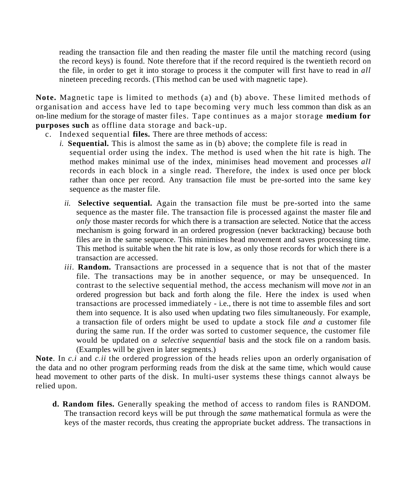reading the transaction file and then reading the master file until the matching record (using the record keys) is found. Note therefore that if the record required is the twentieth record on the file, in order to get it into storage to process it the computer will first have to read in *all*  nineteen preceding records. (This method can be used with magnetic tape).

**Note.** Magnetic tape is limited to methods (a) and (b) above. These limited methods of organisation and access have led to tape becoming very much less common than disk as an on-line medium for the storage of master files. Tape continues as a major storage **medium for purposes such** as offline data storage and back-up.

- c. Indexed sequential **files.** There are three methods of access:
	- *i.* **Sequential.** This is almost the same as in (b) above; the complete file is read in sequential order using the index. The method is used when the hit rate is high. The method makes minimal use of the index, minimises head movement and processes *all*  records in each block in a single read. Therefore, the index is used once per block rather than once per record. Any transaction file must be pre-sorted into the same key sequence as the master file.
		- *ii.* **Selective sequential.** Again the transaction file must be pre-sorted into the same sequence as the master file. The transaction file is processed against the master file and *only* those master records for which there is a transaction are selected. Notice that the access mechanism is going forward in an ordered progression (never backtracking) because both files are in the same sequence. This minimises head movement and saves processing time. This method is suitable when the hit rate is low, as only those records for which there is a transaction are accessed.
		- *iii*. **Random.** Transactions are processed in a sequence that is not that of the master file. The transactions may be in another sequence, or may be unsequenced. In contrast to the selective sequential method, the access mechanism will move *not* in an ordered progression but back and forth along the file. Here the index is used when transactions are processed immediately - i.e., there is not time to assemble files and sort them into sequence. It is also used when updating two files simultaneously. For example, a transaction file of orders might be used to update a stock file *and a* customer file during the same run. If the order was sorted to customer sequence, the customer file would be updated on *a selective sequential* basis and the stock file on a random basis. (Examples will be given in later segments.)

**Note**. In *c.i* and *c.ii* the ordered progression of the heads relies upon an orderly organisation of the data and no other program performing reads from the disk at the same time, which would cause head movement to other parts of the disk. In multi-user systems these things cannot always be relied upon.

**d. Random files.** Generally speaking the method of access to random files is RANDOM. The transaction record keys will be put through the *same* mathematical formula as were the keys of the master records, thus creating the appropriate bucket address. The transactions in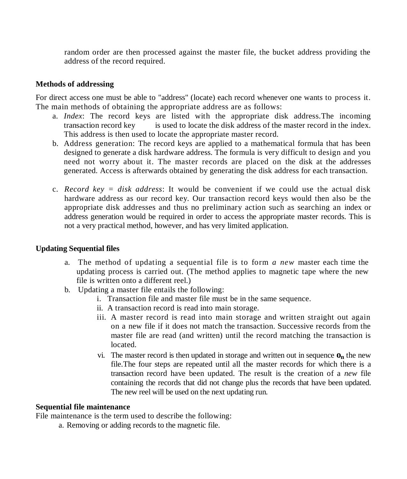random order are then processed against the master file, the bucket address providing the address of the record required.

#### **Methods of addressing**

For direct access one must be able to "address" (locate) each record whenever one wants to process it. The main methods of obtaining the appropriate address are as follows:

- a. *Index*: The record keys are listed with the appropriate disk address.The incoming transaction record key is used to locate the disk address of the master record in the index. This address is then used to locate the appropriate master record.
- b. Address generation: The record keys are applied to a mathematical formula that has been designed to generate a disk hardware address. The formula is very difficult to design and you need not worry about it. The master records are placed on the disk at the addresses generated. Access is afterwards obtained by generating the disk address for each transaction.
- c. *Record key = disk address*: It would be convenient if we could use the actual disk hardware address as our record key. Our transaction record keys would then also be the appropriate disk addresses and thus no preliminary action such as searching an index or address generation would be required in order to access the appropriate master records. This is not a very practical method, however, and has very limited application.

## **Updating Sequential files**

- a. The method of updating a sequential file is to form *a new* master each time the updating process is carried out. (The method applies to magnetic tape where the new file is written onto a different reel.)
- b. Updating a master file entails the following:
	- i. Transaction file and master file must be in the same sequence.
	- ii. A transaction record is read into main storage.
	- iii. A master record is read into main storage and written straight out again on a new file if it does not match the transaction. Successive records from the master file are read (and written) until the record matching the transaction is located.
	- vi. The master record is then updated in storage and written out in sequence **o<sup>n</sup>** the new file.The four steps are repeated until all the master records for which there is a transaction record have been updated. The result is the creation of a *new* file containing the records that did not change plus the records that have been updated. The new reel will be used on the next updating run.

## **Sequential file maintenance**

File maintenance is the term used to describe the following:

a. Removing or adding records to the magnetic file.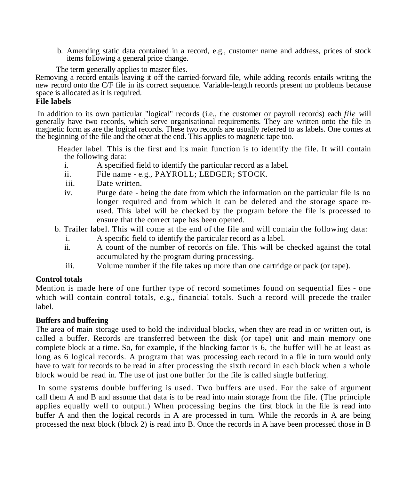b. Amending static data contained in a record, e.g., customer name and address, prices of stock items following a general price change.

The term generally applies to master files.

Removing a record entails leaving it off the carried-forward file, while adding records entails writing the new record onto the C/F file in its correct sequence. Variable-length records present no problems because space is allocated as it is required.

#### **File labels**

In addition to its own particular "logical" records (i.e., the customer or payroll records) each *file* will generally have two records, which serve organisational requirements. They are written onto the file in magnetic form as are the logical records. These two records are usually referred to as labels. One comes at the beginning of the file and the other at the end. This applies to magnetic tape too.

- Header label. This is the first and its main function is to identify the file. It will contain the following data:
	- i. A specified field to identify the particular record as a label.
	- ii. File name e.g., PAYROLL; LEDGER; STOCK.
	- iii. Date written.
	- iv. Purge date being the date from which the information on the particular file is no longer required and from which it can be deleted and the storage space reused. This label will be checked by the program before the file is processed to ensure that the correct tape has been opened.
- b. Trailer label. This will come at the end of the file and will contain the following data:
	- i. A specific field to identify the particular record as a label.
	- ii. A count of the number of records on file. This will be checked against the total accumulated by the program during processing.
	- iii. Volume number if the file takes up more than one cartridge or pack (or tape).

#### **Control totals**

Mention is made here of one further type of record sometimes found on sequential files - one which will contain control totals, e.g., financial totals. Such a record will precede the trailer label.

#### **Buffers and buffering**

The area of main storage used to hold the individual blocks, when they are read in or written out, is called a buffer. Records are transferred between the disk (or tape) unit and main memory one complete block at a time. So, for example, if the blocking factor is 6, the buffer will be at least as long as 6 logical records. A program that was processing each record in a file in turn would only have to wait for records to be read in after processing the sixth record in each block when a whole block would be read in. The use of just one buffer for the file is called single buffering.

In some systems double buffering is used. Two buffers are used. For the sake of argument call them A and B and assume that data is to be read into main storage from the file. (The principle applies equally well to output.) When processing begins the first block in the file is read into buffer A and then the logical records in A are processed in turn. While the records in A are being processed the next block (block 2) is read into B. Once the records in A have been processed those in B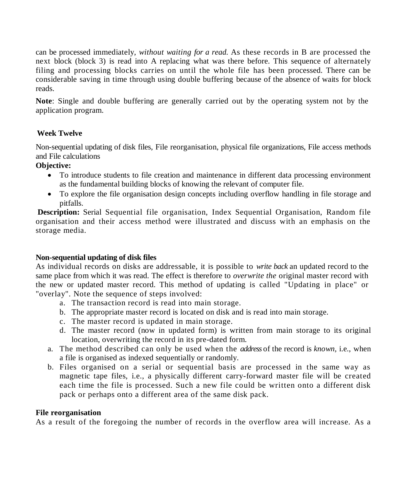can be processed immediately, *without waiting for a read.* As these records in B are processed the next block (block 3) is read into A replacing what was there before. This sequence of alternately filing and processing blocks carries on until the whole file has been processed. There can be considerable saving in time through using double buffering because of the absence of waits for block reads.

**Note**: Single and double buffering are generally carried out by the operating system not by the application program.

# **Week Twelve**

Non-sequential updating of disk files, File reorganisation, physical file organizations, File access methods and File calculations

# **Objective:**

- To introduce students to file creation and maintenance in different data processing environment as the fundamental building blocks of knowing the relevant of computer file.
- To explore the file organisation design concepts including overflow handling in file storage and pitfalls.

**Description:** Serial Sequential file organisation, Index Sequential Organisation, Random file organisation and their access method were illustrated and discuss with an emphasis on the storage media.

## **Non-sequential updating of disk files**

As individual records on disks are addressable, it is possible to *write back* an updated record to the same place from which it was read. The effect is therefore to *overwrite the* original master record with the new or updated master record. This method of updating is called "Updating in place" or "overlay". Note the sequence of steps involved:

- a. The transaction record is read into main storage.
- b. The appropriate master record is located on disk and is read into main storage.
- c. The master record is updated in main storage.
- d. The master record (now in updated form) is written from main storage to its original location, overwriting the record in its pre-dated form.
- a. The method described can only be used when the *address* of the record is *known,* i.e., when a file is organised as indexed sequentially or randomly.
- b. Files organised on a serial or sequential basis are processed in the same way as magnetic tape files, i.e., a physically different carry-forward master file will be created each time the file is processed. Such a new file could be written onto a different disk pack or perhaps onto a different area of the same disk pack.

## **File reorganisation**

As a result of the foregoing the number of records in the overflow area will increase. As a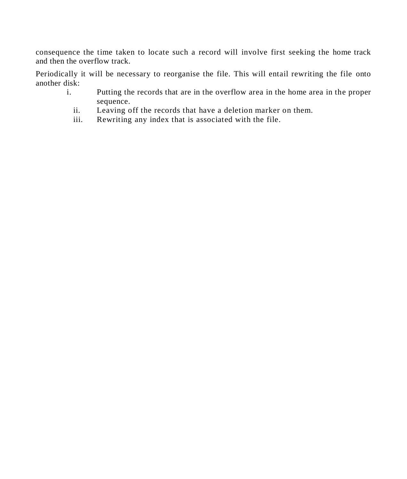consequence the time taken to locate such a record will involve first seeking the home track and then the overflow track.

Periodically it will be necessary to reorganise the file. This will entail rewriting the file onto another disk:

- i. Putting the records that are in the overflow area in the home area in the proper sequence.
	- ii. Leaving off the records that have a deletion marker on them.
	- iii. Rewriting any index that is associated with the file.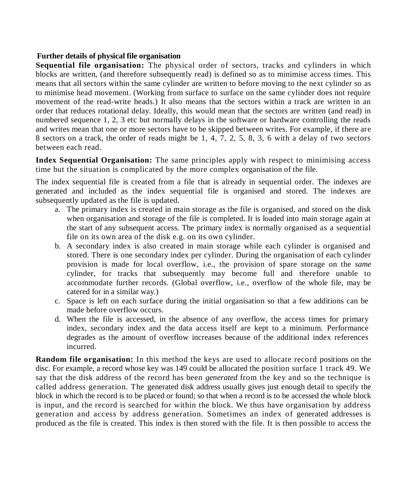# **Further details of physical file organisation**

**Sequential file organisation:** The physical order of sectors, tracks and cylinders in which blocks are written, (and therefore subsequently read) is defined so as to minimise access times. This means that all sectors within the same cylinder are written to before moving to the next cylinder so as to minimise head movement. (Working from surface to surface on the same cylinder does not require movement of the read-write heads.) It also means that the sectors within a track are written in an order that reduces rotational delay. Ideally, this would mean that the sectors are written (and read) in numbered sequence 1, 2, 3 etc but normally delays in the software or hardware controlling the reads and writes mean that one or more sectors have to be skipped between writes. For example, if there are 8 sectors on a track, the order of reads might be 1, 4, 7, 2, 5, 8, 3, 6 with a delay of two sectors between each read.

**Index Sequential Organisation:** The same principles apply with respect to minimising access time but the situation is complicated by the more complex organisation of the file.

The index sequential file is created from a file that is already in sequential order. The indexes are generated and included as the index sequential file is organised and stored. The indexes are subsequently updated as the file is updated.

- a. The primary index is created in main storage as the file is organised, and stored on the disk when organisation and storage of the file is completed. It is loaded into main storage again at the start of any subsequent access. The primary index is normally organised as a sequential file on its own area of the disk e.g. on its own cylinder.
- b. A secondary index is also created in main storage while each cylinder is organised and stored. There is one secondary index per cylinder. During the organisation of each cylinder provision is made for local overflow, i.e., the provision of spare storage on the *same*  cylinder, for tracks that subsequently may become full and therefore unable to accommodate further records. (Global overflow, i.e., overflow of the whole file, may be catered for in a similar way.)
- c. Space is left on each surface during the initial organisation so that a few additions can be made before overflow occurs.
- d. When the file is accessed, in the absence of any overflow, the access times for primary index, secondary index and the data access itself are kept to a minimum. Performance degrades as the amount of overflow increases because of the additional index references incurred.

**Random file organisation:** In this method the keys are used to allocate record positions on the disc. For example, a record whose key was 149 could be allocated the position surface 1 track 49. We say that the disk address of the record has been *generated* from the key and so the technique is called address generation. The generated disk address usually gives just enough detail to specify the block in which the record is to be placed or found; so that when a record is to be accessed the whole block is input, and the record is searched for within the block. We thus have organisation by address generation and access by address generation. Sometimes an index of generated addresses is produced as the file is created. This index is then stored with the file. It is then possible to access the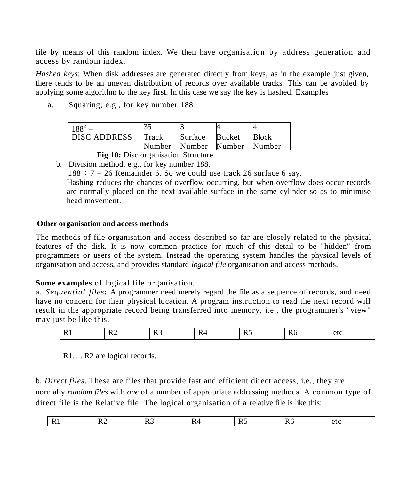file by means of this random index. We then have organisation by address generation and access by random index.

*Hashed keys*: When disk addresses are generated directly from keys, as in the example just given, there tends to be an uneven distribution of records over available tracks. This can be avoided by applying some algorithm to the key first. In this case we say the key is hashed. Examples

a. Squaring, e.g., for key number 188

| $188^2 =$      |        |         |        |              |
|----------------|--------|---------|--------|--------------|
| DISC ADDRESS   | Track  | Surface | Bucket | <b>Block</b> |
|                | Number | Number  | Number | Number       |
| $\cdots$<br>-- |        |         |        |              |

**Fig 10:** Disc organisation Structure

b. Division method, e.g., for key number 188.

 $188 \div 7 = 26$  Remainder 6. So we could use track 26 surface 6 say.

Hashing reduces the chances of overflow occurring, but when overflow does occur records are normally placed on the next available surface in the same cylinder so as to minimise head movement.

# **Other organisation and access methods**

The methods of file organisation and access described so far are closely related to the physical features of the disk. It is now common practice for much of this detail to be "hidden" from programmers or users of the system. Instead the operating system handles the physical levels of organisation and access, and provides standard *logical file* organisation and access methods.

# **Some examples** of logical file organisation.

a. *Sequential files***:** A programmer need merely regard the file as a sequence of records, and need have no concern for their physical location. A program instruction to read the next record will result in the appropriate record being transferred into memory, i.e., the programmer's "view" may just be like this.

|  | ____ |  | __ | $\sim$ | . |
|--|------|--|----|--------|---|
|--|------|--|----|--------|---|

R1…. R2 are logical records.

b. *Direct files*. These are files that provide fast and effic ient direct access, i.e., they are normally *random files* with *one* of a number of appropriate addressing methods. A common type of direct file is the Relative file. The logical organisation of a relative file is like this:

| . | $\sim$ | . .<br>œ<br>____ | <br>--<br>$\sim$ | $\sim$ |  |
|---|--------|------------------|------------------|--------|--|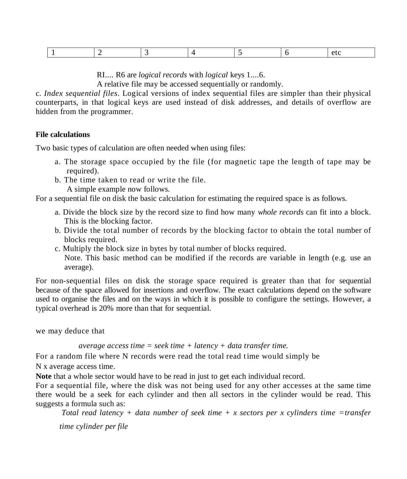|--|--|

RI.... R6 are *logical records* with *logical* keys 1....6.

A relative file may be accessed sequentially or randomly.

c. *Index sequential files*. Logical versions of index sequential files are simpler than their physical counterparts, in that logical keys are used instead of disk addresses, and details of overflow are hidden from the programmer.

### **File calculations**

Two basic types of calculation are often needed when using files:

- a. The storage space occupied by the file (for magnetic tape the length of tape may be required).
- b. The time taken to read or write the file.
	- A simple example now follows.

For a sequential file on disk the basic calculation for estimating the required space is as follows.

- a. Divide the block size by the record size to find how many *whole records* can fit into a block. This is the blocking factor.
- b. Divide the total number of records by the blocking factor to obtain the total number of blocks required.
- c. Multiply the block size in bytes by total number of blocks required. Note. This basic method can be modified if the records are variable in length (e.g. use an average).

For non-sequential files on disk the storage space required is greater than that for sequential because of the space allowed for insertions and overflow. The exact calculations depend on the software used to organise the files and on the ways in which it is possible to configure the settings. However, a typical overhead is 20% more than that for sequential.

we may deduce that

*average access time = seek time + latency + data transfer time.*

For a random file where N records were read the total read time would simply be

N x average access time.

**Note** that a whole sector would have to be read in just to get each individual record.

For a sequential file, where the disk was not being used for any other accesses at the same time there would be a seek for each cylinder and then all sectors in the cylinder would be read. This suggests a formula such as:

*Total read latency + data number of seek time + x sectors per x cylinders time =transfer* 

*time cylinder per file*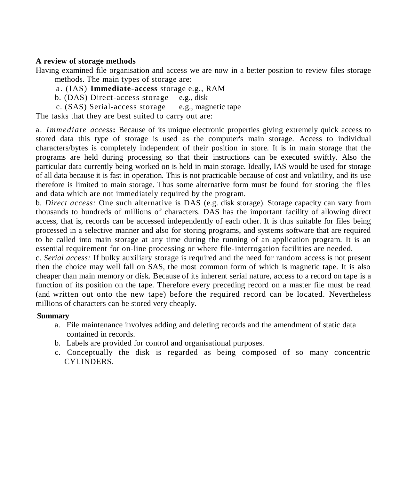### **A review of storage methods**

Having examined file organisation and access we are now in a better position to review files storage methods. The main types of storage are:

a. (IAS) **Immediate-access** storage e.g., RAM

b. (DAS) Direct-access storage e.g., disk

c. (SAS) Serial-access storage e.g., magnetic tape

The tasks that they are best suited to carry out are:

a. *Immediate access***:** Because of its unique electronic properties giving extremely quick access to stored data this type of storage is used as the computer's main storage. Access to individual characters/bytes is completely independent of their position in store. It is in main storage that the programs are held during processing so that their instructions can be executed swiftly. Also the particular data currently being worked on is held in main storage. Ideally, IAS would be used for storage of all data because it is fast in operation. This is not practicable because of cost and volatility, and its use therefore is limited to main storage. Thus some alternative form must be found for storing the files and data which are not immediately required by the program.

b. *Direct access:* One such alternative is DAS (e.g. disk storage). Storage capacity can vary from thousands to hundreds of millions of characters. DAS has the important facility of allowing direct access, that is, records can be accessed independently of each other. It is thus suitable for files being processed in a selective manner and also for storing programs, and systems software that are required to be called into main storage at any time during the running of an application program. It is an essential requirement for on-line processing or where file-interrogation facilities are needed.

c. *Serial access:* If bulky auxiliary storage is required and the need for random access is not present then the choice may well fall on SAS, the most common form of which is magnetic tape. It is also cheaper than main memory or disk. Because of its inherent serial nature, access to a record on tape is a function of its position on the tape. Therefore every preceding record on a master file must be read (and written out onto the new tape) before the required record can be located. Nevertheless millions of characters can be stored very cheaply.

#### **Summary**

- a. File maintenance involves adding and deleting records and the amendment of static data contained in records.
- b. Labels are provided for control and organisational purposes.
- c. Conceptually the disk is regarded as being composed of so many concentric CYLINDERS.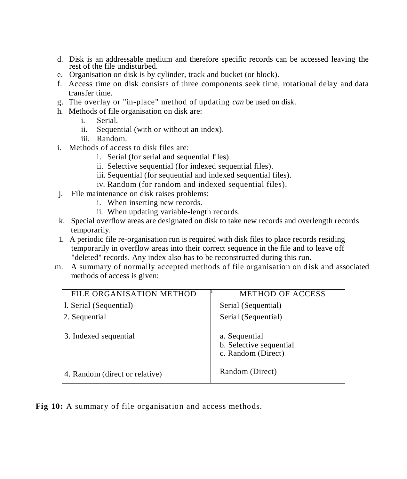- d. Disk is an addressable medium and therefore specific records can be accessed leaving the rest of the file undisturbed.
- e. Organisation on disk is by cylinder, track and bucket (or block).
- f. Access time on disk consists of three components seek time, rotational delay and data transfer time.
- g. The overlay or "in-place" method of updating *can* be used on disk.
- h. Methods of file organisation on disk are:
	- i. Serial.
	- ii. Sequential (with or without an index).
	- iii. Random.
- i. Methods of access to disk files are:
	- i. Serial (for serial and sequential files).
	- ii. Selective sequential (for indexed sequential files).
	- iii. Sequential (for sequential and indexed sequential files).
	- iv. Random (for random and indexed sequential files).
- j. File maintenance on disk raises problems:
	- i. When inserting new records.
	- ii. When updating variable-length records.
- k. Special overflow areas are designated on disk to take new records and overlength records temporarily.
- 1. A periodic file re-organisation run is required with disk files to place records residing temporarily in overflow areas into their correct sequence in the file and to leave off "deleted" records. Any index also has to be reconstructed during this run.
- m. A summary of normally accepted methods of file organisation on disk and associated methods of access is given:

| FILE ORGANISATION METHOD       | <b>METHOD OF ACCESS</b>                                        |
|--------------------------------|----------------------------------------------------------------|
| l. Serial (Sequential)         | Serial (Sequential)                                            |
| $ 2.$ Sequential               | Serial (Sequential)                                            |
| 3. Indexed sequential          | a. Sequential<br>b. Selective sequential<br>c. Random (Direct) |
| 4. Random (direct or relative) | Random (Direct)                                                |

Fig 10: A summary of file organisation and access methods.